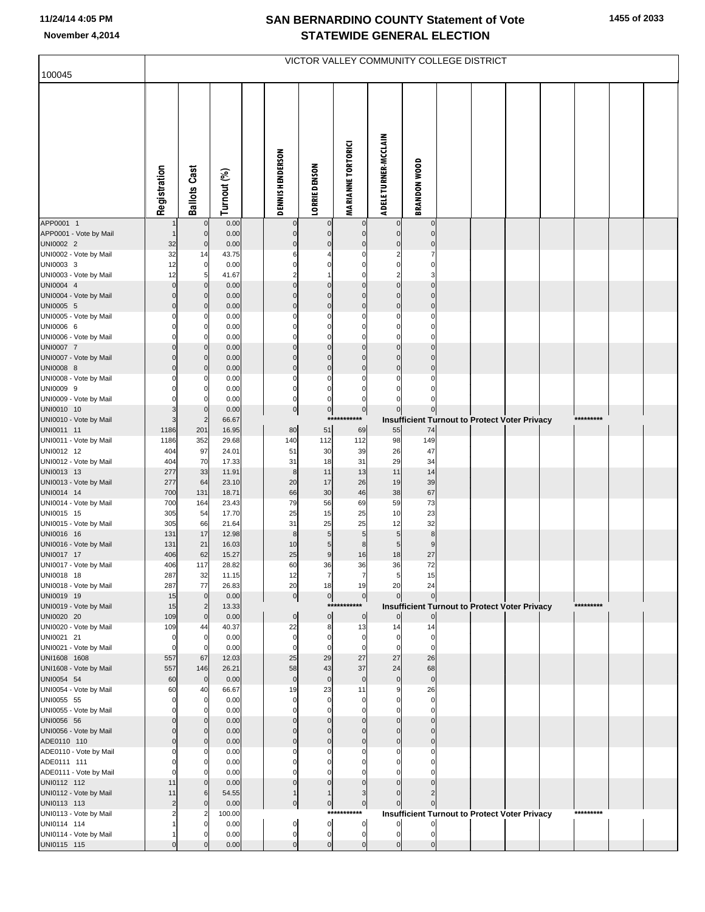| 100045                                 |                      |                               |                |                             |                                  | VICTOR VALLEY COMMUNITY COLLEGE DISTRICT |                               |                             |  |                                                      |           |  |
|----------------------------------------|----------------------|-------------------------------|----------------|-----------------------------|----------------------------------|------------------------------------------|-------------------------------|-----------------------------|--|------------------------------------------------------|-----------|--|
|                                        |                      |                               |                |                             |                                  |                                          |                               |                             |  |                                                      |           |  |
|                                        | Registration         | <b>Ballots Cast</b>           | Turnout (%)    | <b>DENNIS HENDERSON</b>     | LORRIE DENSON                    | <b>MARIANNE TORTORICI</b>                | <b>ADELE TURNER-MCCLAIN</b>   | <b>BRANDON WOOD</b>         |  |                                                      |           |  |
| APP0001 1<br>APP0001 - Vote by Mail    |                      | $\mathbf 0$<br>$\mathbf 0$    | 0.00<br>0.00   | 0<br>$\pmb{0}$              | 0<br>$\overline{0}$              | 0<br>$\pmb{0}$                           | $\pmb{0}$                     | $\pmb{0}$<br>$\pmb{0}$      |  |                                                      |           |  |
| UNI0002 2                              | 32                   | $\pmb{0}$                     | 0.00           | $\pmb{0}$                   | $\overline{0}$                   | $\mathbf 0$                              | $\pmb{0}$                     | $\mathbf 0$                 |  |                                                      |           |  |
| UNI0002 - Vote by Mail                 | 32                   | 14                            | 43.75          | 6                           |                                  | 0                                        | 2                             | 7                           |  |                                                      |           |  |
| UNI0003 3<br>UNI0003 - Vote by Mail    | 12<br>12             | $\mathbf 0$<br>5              | 0.00<br>41.67  | $\Omega$                    | 0                                | 0<br>$\Omega$                            | $\mathbf 0$<br>$\overline{2}$ | $\mathbf 0$<br>3            |  |                                                      |           |  |
| UNI0004 4                              | $\Omega$             | $\mathbf 0$                   | 0.00           | $\mathbf 0$                 | $\overline{0}$                   | $\mathbf 0$                              | $\pmb{0}$                     | $\mathbf 0$                 |  |                                                      |           |  |
| UNI0004 - Vote by Mail                 | $\Omega$             | $\mathbf 0$                   | 0.00           | $\Omega$                    | $\mathbf 0$                      | $\mathbf 0$                              | $\mathbf 0$                   | $\pmb{0}$                   |  |                                                      |           |  |
| UNI0005 5<br>UNI0005 - Vote by Mail    | $\overline{0}$<br>ŋ  | $\mathbf 0$<br>C              | 0.00<br>0.00   | $\pmb{0}$<br>$\Omega$       | $\overline{0}$<br>0              | $\mathbf 0$<br>0                         | $\pmb{0}$<br>$\Omega$         | $\mathbf 0$<br>$\mathbf 0$  |  |                                                      |           |  |
| UNI0006 6                              |                      | 0                             | 0.00           | $\Omega$                    | 0                                | 0                                        | 0                             | $\pmb{0}$                   |  |                                                      |           |  |
| UNI0006 - Vote by Mail                 |                      | $\Omega$                      | 0.00           | $\Omega$                    | $\mathbf 0$                      | $\Omega$                                 | $\Omega$                      | $\mathbf 0$                 |  |                                                      |           |  |
| UNI0007 7<br>UNI0007 - Vote by Mail    | $\Omega$<br>$\Omega$ | $\mathbf 0$<br>$\mathbf 0$    | 0.00<br>0.00   | $\mathbf 0$<br>$\Omega$     | $\overline{0}$<br>$\mathbf 0$    | $\mathbf 0$<br>$\mathbf 0$               | $\pmb{0}$<br>$\mathbf 0$      | $\pmb{0}$<br>$\pmb{0}$      |  |                                                      |           |  |
| UNI0008 8                              | $\Omega$             | $\mathbf 0$                   | 0.00           | $\mathbf 0$                 | $\overline{0}$                   | $\mathbf 0$                              | $\pmb{0}$                     | $\pmb{0}$                   |  |                                                      |           |  |
| UNI0008 - Vote by Mail                 | O                    | C                             | 0.00           | 0                           | 0                                | 0                                        | 0                             | 0                           |  |                                                      |           |  |
| UNI0009 9<br>UNI0009 - Vote by Mail    | ŋ                    | 0<br>$\mathsf{C}$             | 0.00<br>0.00   | 0<br>$\mathbf 0$            | 0<br>0                           | 0<br>$\mathbf 0$                         | $\Omega$<br>0                 | $\pmb{0}$<br>$\mathbf 0$    |  |                                                      |           |  |
| UNI0010 10                             | 3                    | $\mathbf 0$                   | 0.00           | $\overline{0}$              | $\overline{0}$                   | 0                                        | $\overline{0}$                | $\overline{0}$              |  |                                                      |           |  |
| UNI0010 - Vote by Mail                 | 3                    | $\overline{2}$                | 66.67          | 80                          | $***$                            | ***                                      |                               |                             |  | <b>Insufficient Turnout to Protect Voter Privacy</b> | ********* |  |
| UNI0011 11<br>UNI0011 - Vote by Mail   | 1186<br>1186         | 201<br>352                    | 16.95<br>29.68 | 140                         | 51<br>112                        | 69<br>112                                | 55<br>98                      | 74<br>149                   |  |                                                      |           |  |
| UNI0012 12                             | 404                  | 97                            | 24.01          | 51                          | 30                               | 39                                       | 26                            | 47                          |  |                                                      |           |  |
| UNI0012 - Vote by Mail<br>UNI0013 13   | 404<br>277           | 70<br>33                      | 17.33<br>11.91 | 31<br>8                     | 18<br>11                         | 31<br>13                                 | 29<br>11                      | 34<br>14                    |  |                                                      |           |  |
| UNI0013 - Vote by Mail                 | 277                  | 64                            | 23.10          | 20                          | 17                               | 26                                       | 19                            | 39                          |  |                                                      |           |  |
| UNI0014 14                             | 700                  | 131                           | 18.71          | 66                          | 30                               | 46                                       | 38                            | 67                          |  |                                                      |           |  |
| UNI0014 - Vote by Mail<br>UNI0015 15   | 700<br>305           | 164<br>54                     | 23.43<br>17.70 | 79<br>25                    | 56<br>15                         | 69<br>25                                 | 59<br>10                      | 73<br>23                    |  |                                                      |           |  |
| UNI0015 - Vote by Mail                 | 305                  | 66                            | 21.64          | 31                          | 25                               | 25                                       | 12                            | 32                          |  |                                                      |           |  |
| UNI0016 16<br>UNI0016 - Vote by Mail   | 131<br>131           | 17<br>21                      | 12.98<br>16.03 | 8<br>10                     | 5 <sub>5</sub><br>5 <sub>5</sub> | 5<br>8                                   | 5<br>5                        | $\bf8$<br>$\boldsymbol{9}$  |  |                                                      |           |  |
| UNI0017 17                             | 406                  | 62                            | 15.27          | 25                          | 9                                | 16                                       | 18                            | $27\,$                      |  |                                                      |           |  |
| UNI0017 - Vote by Mail                 | 406                  | 117                           | 28.82          | 60                          | 36                               | 36                                       | 36                            | 72                          |  |                                                      |           |  |
| UNI0018 18<br>UNI0018 - Vote by Mail   | 287<br>287           | 32<br>77                      | 11.15<br>26.83 | 20                          | 18                               | 19                                       | 20                            | 24                          |  |                                                      |           |  |
| UNI0019 19                             | 15                   | $\mathbf 0$                   | 0.00           | $\overline{0}$              | $\overline{0}$                   | $\overline{0}$                           | $\mathbf 0$                   | $\mathbf 0$                 |  |                                                      |           |  |
| UNI0019 - Vote by Mail<br>UNI0020 20   | 15<br>109            | $\overline{2}$<br>$\mathbf 0$ | 13.33<br>0.00  | $\overline{0}$              | ***<br>$\overline{0}$            | ****<br>$\pmb{0}$                        | $\pmb{0}$                     | $\overline{0}$              |  | <b>Insufficient Turnout to Protect Voter Privacy</b> | ********* |  |
| UNI0020 - Vote by Mail                 | 109                  | 44                            | 40.37          | 22                          | 8                                | 13                                       | 14                            | 14                          |  |                                                      |           |  |
| UNI0021 21                             | O                    | 0                             | 0.00           | 0                           | 0                                | 0                                        |                               | $\Omega$                    |  |                                                      |           |  |
| UNI0021 - Vote by Mail<br>UNI1608 1608 | O<br>557             | C<br>67                       | 0.00<br>12.03  | $\Omega$<br>25              | 0<br>29                          | $\Omega$<br>27                           | $\Omega$<br>27                | $\Omega$<br>26              |  |                                                      |           |  |
| UNI1608 - Vote by Mail                 | 557                  | 146                           | 26.21          | 58                          | 43                               | 37                                       | 24                            | 68                          |  |                                                      |           |  |
| UNI0054 54                             | 60                   | $\mathbf 0$                   | 0.00           | $\mathbf 0$                 | $\mathbf 0$                      | $\mathbf{0}$                             | $\mathbf 0$<br>9              | $\mathbf 0$                 |  |                                                      |           |  |
| UNI0054 - Vote by Mail<br>UNI0055 55   | 60                   | 40<br>0                       | 66.67<br>0.00  | 19<br>0                     | 23<br>0                          | 11<br>0                                  |                               | 26<br>0                     |  |                                                      |           |  |
| UNI0055 - Vote by Mail                 |                      | C                             | 0.00           | O                           | $\Omega$                         | 0                                        |                               | $\Omega$                    |  |                                                      |           |  |
| UNI0056 56<br>UNI0056 - Vote by Mail   | O<br>O               | $\Omega$<br>C                 | 0.00<br>0.00   |                             | $\Omega$<br>$\Omega$             | $\Omega$<br>$\Omega$                     | $\Omega$<br>$\Omega$          | $\mathbf 0$<br>$\mathbf{0}$ |  |                                                      |           |  |
| ADE0110 110                            | O                    | $\Omega$                      | 0.00           | $\Omega$                    | $\Omega$                         | $\Omega$                                 | $\Omega$                      | $\mathbf 0$                 |  |                                                      |           |  |
| ADE0110 - Vote by Mail                 |                      |                               | 0.00           |                             |                                  |                                          |                               | O                           |  |                                                      |           |  |
| ADE0111 111<br>ADE0111 - Vote by Mail  |                      |                               | 0.00<br>0.00   |                             |                                  |                                          |                               |                             |  |                                                      |           |  |
| UNI0112 112                            | 11                   | $\Omega$                      | 0.00           | $\Omega$                    | $\Omega$                         | $\Omega$                                 |                               |                             |  |                                                      |           |  |
| UNI0112 - Vote by Mail                 | 11                   | 6                             | 54.55          | $\overline{0}$              |                                  | 3                                        |                               |                             |  |                                                      |           |  |
| UNI0113 113<br>UNI0113 - Vote by Mail  | 2                    | C                             | 0.00<br>100.00 |                             | $\overline{0}$<br>***:           | $\mathbf 0$<br>****                      |                               | $\overline{0}$              |  | <b>Insufficient Turnout to Protect Voter Privacy</b> | ********* |  |
| UNI0114 114                            |                      |                               | 0.00           | $\overline{0}$              | $\overline{0}$                   | $\mathbf 0$                              |                               |                             |  |                                                      |           |  |
| UNI0114 - Vote by Mail                 |                      |                               | 0.00<br>0.00   | $\mathbf 0$<br>$\mathbf{0}$ | $\overline{0}$<br>$\overline{0}$ | $\pmb{0}$<br>$\mathbf 0$                 | 0<br>$\mathbf 0$              | 0<br>$\pmb{0}$              |  |                                                      |           |  |
| UNI0115 115                            |                      |                               |                |                             |                                  |                                          |                               |                             |  |                                                      |           |  |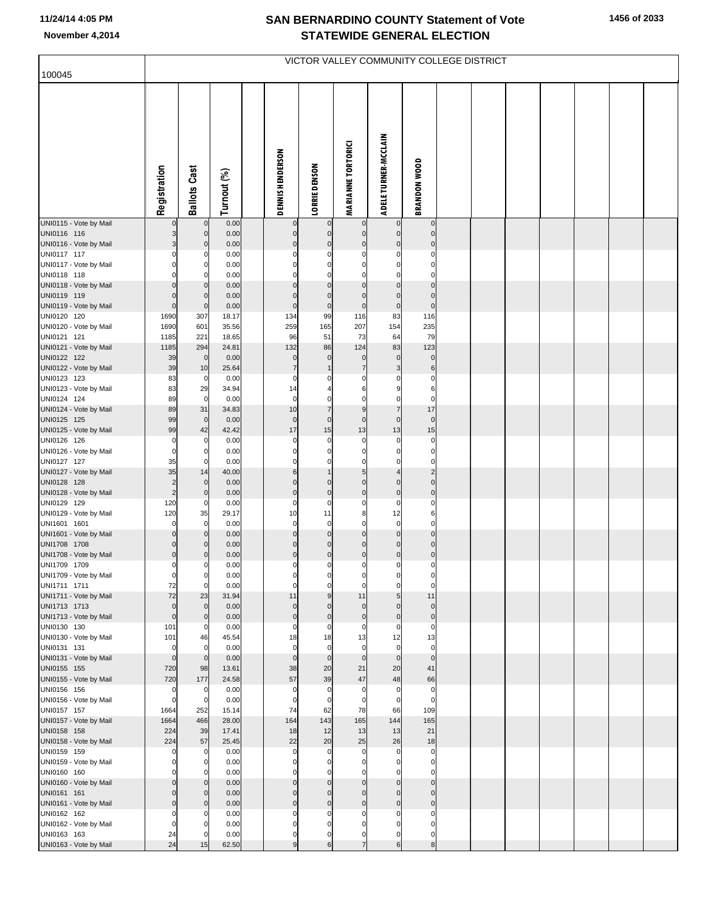| 100045                                 |                      |                            |               |                               |                               | VICTOR VALLEY COMMUNITY COLLEGE DISTRICT |                               |                               |  |  |  |  |
|----------------------------------------|----------------------|----------------------------|---------------|-------------------------------|-------------------------------|------------------------------------------|-------------------------------|-------------------------------|--|--|--|--|
|                                        |                      |                            |               |                               |                               |                                          |                               |                               |  |  |  |  |
|                                        | Registration         | <b>Ballots Cast</b>        | Turnout (%)   | <b>DENNIS HENDERSON</b>       | <b>LORRIE DENSON</b>          | <b>MARIANNE TORTORICI</b>                | <b>ADELE TURNER-MCCLAIN</b>   | <b>BRANDON WOOD</b>           |  |  |  |  |
| UNI0115 - Vote by Mail                 |                      | $\pmb{0}$                  | 0.00          |                               |                               | 0                                        | $\mathbf 0$                   | $\mathbf 0$                   |  |  |  |  |
| UNI0116 116                            | 3                    | $\mathbf 0$                | 0.00          | $\mathbf 0$<br>$\Omega$       | $\mathbf 0$<br>$\mathbf 0$    | $\pmb{0}$<br>$\pmb{0}$                   | $\pmb{0}$<br>$\mathbf 0$      | $\mathbf 0$<br>$\mathbf 0$    |  |  |  |  |
| UNI0116 - Vote by Mail<br>UNI0117 117  | 0                    | $\mathbf 0$<br>0           | 0.00<br>0.00  |                               |                               | 0                                        | $\mathbf 0$                   | $\bf{0}$                      |  |  |  |  |
| UNI0117 - Vote by Mail                 |                      | 0                          | 0.00          |                               |                               | $\Omega$                                 | $\mathbf 0$                   | 0                             |  |  |  |  |
| UNI0118 118                            |                      | 0                          | 0.00          |                               | $\Omega$                      | $\mathbf 0$                              | $\mathbf 0$                   | $\mathbf 0$                   |  |  |  |  |
| UNI0118 - Vote by Mail                 |                      | $\Omega$                   | 0.00          |                               |                               | $\Omega$                                 | $\mathbf 0$                   | $\Omega$                      |  |  |  |  |
| UNI0119 119<br>UNI0119 - Vote by Mail  | 0<br>$\Omega$        | $\mathbf 0$<br>$\mathbf 0$ | 0.00<br>0.00  | $\Omega$<br>$\mathbf 0$       | $\pmb{0}$<br>$\pmb{0}$        | $\pmb{0}$<br>$\pmb{0}$                   | $\pmb{0}$<br>$\mathbf 0$      | $\pmb{0}$<br>$\mathbf 0$      |  |  |  |  |
| UNI0120 120                            | 1690                 | 307                        | 18.17         | 134                           | 99                            | 116                                      | 83                            | 116                           |  |  |  |  |
| UNI0120 - Vote by Mail                 | 1690                 | 601                        | 35.56         | 259                           | 165                           | 207                                      | 154                           | 235                           |  |  |  |  |
| UNI0121 121                            | 1185                 | 221                        | 18.65         | 96                            | 51                            | 73                                       | 64                            | 79                            |  |  |  |  |
| UNI0121 - Vote by Mail                 | 1185                 | 294                        | 24.81         | 132                           | 86<br>$\mathbf 0$             | 124                                      | 83<br>$\pmb{0}$               | 123                           |  |  |  |  |
| UNI0122 122<br>UNI0122 - Vote by Mail  | 39<br>39             | $\mathbf 0$<br>10          | 0.00<br>25.64 | $\mathbf 0$<br>$\overline{7}$ | $\mathbf{1}$                  | $\mathbf 0$<br>$\overline{7}$            | $\mathbf{3}$                  | $\pmb{0}$<br>6                |  |  |  |  |
| UNI0123 123                            | 83                   | $\mathbf 0$                | 0.00          | $\Omega$                      |                               | 0                                        | $\mathbf 0$                   | $\pmb{0}$                     |  |  |  |  |
| UNI0123 - Vote by Mail                 | 83                   | 29                         | 34.94         | 14                            |                               | 6                                        | 9                             | 6                             |  |  |  |  |
| UNI0124 124                            | 89                   | $\mathbf 0$                | 0.00          | 0                             | 0                             | $\mathbf 0$                              | $\mathbf 0$                   | $\pmb{0}$                     |  |  |  |  |
| UNI0124 - Vote by Mail                 | 89<br>99             | 31<br>$\mathbf{0}$         | 34.83         | 10<br>$\mathbf 0$             | $\overline{7}$<br>$\mathbf 0$ | $\boldsymbol{9}$<br>$\pmb{0}$            | $\overline{7}$<br>$\mathbf 0$ | 17<br>$\mathbf 0$             |  |  |  |  |
| UNI0125 125<br>UNI0125 - Vote by Mail  | 99                   | 42                         | 0.00<br>42.42 | 17                            | 15                            | 13                                       | 13                            | 15                            |  |  |  |  |
| UNI0126 126                            | 0                    | 0                          | 0.00          | $\Omega$                      | 0                             | 0                                        | $\mathbf 0$                   | $\pmb{0}$                     |  |  |  |  |
| UNI0126 - Vote by Mail                 | $\Omega$             | 0                          | 0.00          |                               | $\Omega$                      | $\Omega$                                 | $\mathbf 0$                   | $\mathbf 0$                   |  |  |  |  |
| UNI0127 127                            | 35                   | 0                          | 0.00          | $\Omega$                      | 0                             | $\mathbf 0$                              | $\mathbf 0$                   | $\mathbf 0$                   |  |  |  |  |
| UNI0127 - Vote by Mail<br>UNI0128 128  | 35<br>$\overline{c}$ | 14<br>$\mathbf 0$          | 40.00<br>0.00 | 6<br>$\Omega$                 | $\mathbf 0$                   | $\sqrt{5}$<br>$\mathbf 0$                | $\overline{4}$<br>$\mathbf 0$ | $\overline{c}$<br>$\mathbf 0$ |  |  |  |  |
| UNI0128 - Vote by Mail                 | $\overline{c}$       | $\mathbf 0$                | 0.00          | $\overline{0}$                | $\overline{0}$                | $\mathbf 0$                              | $\mathbf 0$                   | $\pmb{0}$                     |  |  |  |  |
| UNI0129 129                            | 120                  | $\mathbf 0$                | 0.00          | 0                             | 0                             | $\pmb{0}$                                | $\mathbf 0$                   | $\pmb{0}$                     |  |  |  |  |
| UNI0129 - Vote by Mail                 | 120                  | 35                         | 29.17         | 10<br>$\mathbf 0$             | 11                            | 8<br>$\mathbf 0$                         | 12<br>$\overline{0}$          | 6<br>$\mathbf 0$              |  |  |  |  |
| UNI1601 1601<br>UNI1601 - Vote by Mail | 0                    | 0<br>$\mathbf 0$           | 0.00<br>0.00  | $\Omega$                      | $\mathbf 0$<br>$\mathbf 0$    | $\mathbf 0$                              | $\mathbf 0$                   | $\mathbf 0$                   |  |  |  |  |
| UNI1708 1708                           | 0                    | $\mathbf 0$                | 0.00          | $\mathbf 0$                   | $\mathbf 0$                   | $\pmb{0}$                                | $\mathbf 0$                   | $\pmb{0}$                     |  |  |  |  |
| UNI1708 - Vote by Mail                 | 0                    | 0                          | 0.00          | $\overline{0}$                | $\pmb{0}$                     | $\mathbf 0$                              | $\mathbf 0$                   | $\mathbf 0$                   |  |  |  |  |
| UNI1709 1709                           | 0                    | $\overline{0}$             | 0.00          | $\overline{0}$                | $\pmb{0}$                     | $\mathbf{0}$                             | $\overline{0}$                | $\overline{0}$                |  |  |  |  |
| UNI1709 - Vote by Mail<br>UNI1711 1711 | 0<br>72              | 0<br>$\mathbf 0$           | 0.00<br>0.00  | $\Omega$                      | $\Omega$                      | $\mathbf 0$                              | $\Omega$<br>$\Omega$          | $\mathbf 0$                   |  |  |  |  |
| UNI1711 - Vote by Mail                 | 72                   | 23                         | 31.94         | 11                            | 9                             | 11                                       | 5                             | 11                            |  |  |  |  |
| UNI1713 1713                           | 0                    | $\mathbf 0$                | 0.00          | $\mathbf{0}$                  | $\mathbf 0$                   | $\mathbf 0$                              | $\mathbf 0$                   | $\mathbf 0$                   |  |  |  |  |
| UNI1713 - Vote by Mail                 | $\mathbf 0$          | $\mathbf 0$                | 0.00          | $\Omega$                      | $\mathbf 0$                   | $\mathbf 0$                              | $\mathbf 0$                   | $\pmb{0}$                     |  |  |  |  |
| UNI0130 130<br>UNI0130 - Vote by Mail  | 101<br>101           | $\mathbf 0$<br>46          | 0.00<br>45.54 | 0<br>18                       | 0<br>18                       | $\mathbf 0$<br>13                        | $\mathbf 0$<br>12             | $\mathbf 0$<br>13             |  |  |  |  |
| UNI0131 131                            | $\mathbf 0$          | $\mathbf 0$                | 0.00          | $\mathbf 0$                   | $\mathbf 0$                   | $\mathbf 0$                              | $\mathbf{0}$                  | $\mathbf 0$                   |  |  |  |  |
| UNI0131 - Vote by Mail                 | $\Omega$             | $\mathbf 0$                | 0.00          | $\mathbf 0$                   | $\mathbf 0$                   | $\mathbf 0$                              | $\overline{0}$                | $\mathbf 0$                   |  |  |  |  |
| UNI0155 155                            | 720                  | 98                         | 13.61         | 38                            | 20                            | 21                                       | 20                            | 41                            |  |  |  |  |
| UNI0155 - Vote by Mail<br>UNI0156 156  | 720<br>$\mathbf 0$   | 177<br>$\mathbf 0$         | 24.58<br>0.00 | 57<br>0                       | 39<br>0                       | 47<br>0                                  | 48<br>$\mathbf 0$             | 66<br>$\mathbf 0$             |  |  |  |  |
| UNI0156 - Vote by Mail                 | 0                    | 0                          | 0.00          | 0                             | $\Omega$                      | $\Omega$                                 | $\mathbf 0$                   | $\mathbf 0$                   |  |  |  |  |
| UNI0157 157                            | 1664                 | 252                        | 15.14         | 74                            | 62                            | 78                                       | 66                            | 109                           |  |  |  |  |
| UNI0157 - Vote by Mail                 | 1664                 | 466                        | 28.00         | 164                           | 143                           | 165                                      | 144                           | 165                           |  |  |  |  |
| UNI0158 158                            | 224                  | 39                         | 17.41         | 18                            | 12                            | 13                                       | 13                            | 21                            |  |  |  |  |
| UNI0158 - Vote by Mail<br>UNI0159 159  | 224<br>$\Omega$      | 57<br>0                    | 25.45<br>0.00 | 22<br>$\Omega$                | 20<br>$\Omega$                | 25<br>0                                  | 26<br>$\mathbf 0$             | 18<br>$\bf{0}$                |  |  |  |  |
| UNI0159 - Vote by Mail                 |                      | 0                          | 0.00          |                               | $\Omega$                      | $\Omega$                                 | $\mathbf 0$                   | $\mathbf 0$                   |  |  |  |  |
| UNI0160 160                            |                      | 0                          | 0.00          | $\Omega$                      | $\Omega$                      | $\mathbf 0$                              | $\mathbf 0$                   | $\mathbf 0$                   |  |  |  |  |
| UNI0160 - Vote by Mail                 |                      | $\Omega$                   | 0.00          | $\Omega$                      | $\Omega$                      | $\mathbf 0$                              | $\mathbf 0$                   | $\mathbf 0$                   |  |  |  |  |
| UNI0161 161                            | 0<br>$\Omega$        | $\mathbf 0$                | 0.00          | $\Omega$<br>$\Omega$          | $\Omega$<br>$\overline{0}$    | $\pmb{0}$                                | $\mathbf 0$<br>$\mathbf 0$    | $\mathbf 0$<br>$\mathbf 0$    |  |  |  |  |
| UNI0161 - Vote by Mail<br>UNI0162 162  | 0                    | $\mathbf 0$<br>0           | 0.00<br>0.00  | $\Omega$                      | $\Omega$                      | $\pmb{0}$<br>$\Omega$                    | $\mathbf 0$                   | $\mathbf 0$                   |  |  |  |  |
| UNI0162 - Vote by Mail                 | 0                    | 0                          | 0.00          |                               | 0                             | $\Omega$                                 | $\mathbf 0$                   | $\Omega$                      |  |  |  |  |
| UNI0163 163                            | 24                   | 0                          | 0.00          | $\Omega$                      | 0                             | $\mathbf 0$                              | $\mathbf{0}$                  | $\mathbf 0$                   |  |  |  |  |
| UNI0163 - Vote by Mail                 | 24                   | 15                         | 62.50         | 9                             | 6                             | $\overline{7}$                           | $6 \overline{}$               | 8                             |  |  |  |  |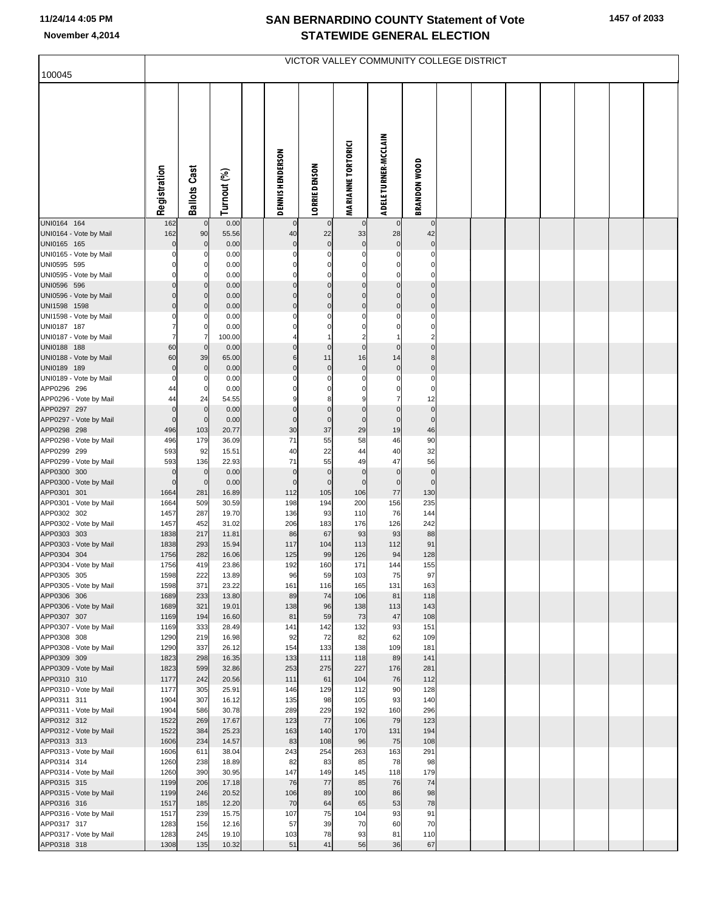|                                        |                         |                     |                |                   |                          |                           |                                  | VICTOR VALLEY COMMUNITY COLLEGE DISTRICT |  |  |  |  |
|----------------------------------------|-------------------------|---------------------|----------------|-------------------|--------------------------|---------------------------|----------------------------------|------------------------------------------|--|--|--|--|
| 100045                                 |                         |                     |                |                   |                          |                           |                                  |                                          |  |  |  |  |
|                                        | Registration            | <b>Ballots Cast</b> | Turnout (%)    | DENNIS HENDERSON  | <b>LORRIE DENSON</b>     | <b>MARIANNE TORTORICI</b> | <b>ADELE TURNER-MCCLAIN</b>      | <b>BRANDON WOOD</b>                      |  |  |  |  |
| UNI0164 164                            | 162                     | $\Omega$            | 0.00           | $\mathbf 0$       |                          | $\overline{0}$            | $\mathbf{0}$                     | $\mathbf 0$                              |  |  |  |  |
| UNI0164 - Vote by Mail<br>UNI0165 165  | 162<br>$\Omega$         | 90<br>$\mathbf 0$   | 55.56<br>0.00  | 40<br>$\mathbf 0$ | 22<br>$\mathbf 0$        | 33<br>$\mathbf 0$         | 28<br>$\mathbf 0$                | 42<br>$\mathbf 0$                        |  |  |  |  |
| UNI0165 - Vote by Mail                 |                         |                     | 0.00           | C                 |                          | $\Omega$                  | $\Omega$                         | $\Omega$                                 |  |  |  |  |
| UNI0595 595                            |                         |                     | 0.00           |                   |                          |                           |                                  |                                          |  |  |  |  |
| UNI0595 - Vote by Mail                 |                         |                     | 0.00           |                   | C                        | $\Omega$                  | $\Omega$                         |                                          |  |  |  |  |
| UNI0596 596                            |                         | $\Omega$            | 0.00           |                   | $\Omega$                 | $\pmb{0}$                 | $\mathbf 0$                      | $\mathbf 0$                              |  |  |  |  |
| UNI0596 - Vote by Mail                 |                         | $\Omega$            | 0.00           | $\mathcal{C}$     | $\Omega$<br>$\mathsf{C}$ | $\mathbf 0$               | $\overline{0}$<br>$\overline{0}$ | $\pmb{0}$                                |  |  |  |  |
| UNI1598 1598<br>UNI1598 - Vote by Mail |                         | 0                   | 0.00<br>0.00   |                   |                          | $\pmb{0}$<br>$\Omega$     | 0                                | $\pmb{0}$<br>$\Omega$                    |  |  |  |  |
| UNI0187 187                            |                         | 0                   | 0.00           |                   |                          | $\Omega$                  | 0                                |                                          |  |  |  |  |
| UNI0187 - Vote by Mail                 |                         |                     | 100.00         |                   |                          | $\overline{2}$            |                                  |                                          |  |  |  |  |
| UNI0188 188                            | 60                      | $\Omega$            | 0.00           |                   | $\Omega$                 | $\pmb{0}$                 | 0                                | $\pmb{0}$                                |  |  |  |  |
| UNI0188 - Vote by Mail                 | 60                      | 39                  | 65.00          | 6                 | 11                       | 16                        | 14                               | 8                                        |  |  |  |  |
| UNI0189 189<br>UNI0189 - Vote by Mail  | $\mathbf 0$<br>$\Omega$ | $\mathbf 0$         | 0.00<br>0.00   | C                 | $\mathbf 0$              | $\pmb{0}$<br>$\Omega$     | $\pmb{0}$<br>$\Omega$            | $\pmb{0}$<br>$\Omega$                    |  |  |  |  |
| APP0296 296                            | 44                      |                     | 0.00           |                   |                          |                           |                                  | 0                                        |  |  |  |  |
| APP0296 - Vote by Mail                 | 44                      | 24                  | 54.55          |                   | 8                        |                           |                                  | 12                                       |  |  |  |  |
| APP0297 297                            | $\mathbf 0$             | $\mathbf 0$         | 0.00           |                   | C                        | $\mathbf 0$               | $\mathbf 0$                      | $\pmb{0}$                                |  |  |  |  |
| APP0297 - Vote by Mail                 | $\Omega$                | $\mathbf 0$         | 0.00           | $\mathbf 0$       | $\mathbf 0$              | $\pmb{0}$                 | $\mathbf 0$                      | $\mathbf 0$                              |  |  |  |  |
| APP0298 298                            | 496                     | 103                 | 20.77          | 30<br>71          | 37                       | 29                        | 19                               | 46                                       |  |  |  |  |
| APP0298 - Vote by Mail<br>APP0299 299  | 496<br>593              | 179<br>92           | 36.09<br>15.51 | 40                | 55<br>22                 | 58<br>44                  | 46<br>40                         | 90<br>32                                 |  |  |  |  |
| APP0299 - Vote by Mail                 | 593                     | 136                 | 22.93          | 71                | 55                       | 49                        | 47                               | 56                                       |  |  |  |  |
| APP0300 300                            | $\mathbf 0$             | $\mathbf 0$         | 0.00           | $\mathbf 0$       | $\mathbf 0$              | $\pmb{0}$                 | $\pmb{0}$                        | $\pmb{0}$                                |  |  |  |  |
| APP0300 - Vote by Mail                 | $\mathbf 0$             | $\mathbf 0$         | 0.00           | $\mathbf 0$       | $\mathbf 0$              | $\pmb{0}$                 | $\pmb{0}$                        | $\mathbf 0$                              |  |  |  |  |
| APP0301 301                            | 1664                    | 281                 | 16.89          | 112               | 105                      | 106                       | $77$                             | 130                                      |  |  |  |  |
| APP0301 - Vote by Mail<br>APP0302 302  | 1664<br>1457            | 509<br>287          | 30.59<br>19.70 | 198<br>136        | 194<br>93                | 200<br>110                | 156<br>76                        | 235<br>144                               |  |  |  |  |
| APP0302 - Vote by Mail                 | 1457                    | 452                 | 31.02          | 206               | 183                      | 176                       | 126                              | 242                                      |  |  |  |  |
| APP0303 303                            | 1838                    | 217                 | 11.81          | 86                | 67                       | 93                        | 93                               | 88                                       |  |  |  |  |
| APP0303 - Vote by Mail                 | 1838                    | 293                 | 15.94          | 117               | 104                      | 113                       | 112                              | 91                                       |  |  |  |  |
| APP0304 304<br>APP0304 - Vote by Mail  | 1756<br>1756            | 282<br>419          | 16.06<br>23.86 | 125<br>192        | 99<br>160                | 126<br>171                | 94<br>144                        | 128<br>155                               |  |  |  |  |
| APP0305 305                            | 1598                    | 222                 | 13.89          | 96                | 59                       | 103                       | 75                               | 97                                       |  |  |  |  |
| APP0305 - Vote by Mail                 | 1598                    | 371                 | 23.22          | 161               | 116                      | 165                       | 131                              | 163                                      |  |  |  |  |
| APP0306 306                            | 1689                    | 233                 | 13.80          | 89                | 74                       | 106                       | 81                               | 118                                      |  |  |  |  |
| APP0306 - Vote by Mail                 | 1689                    | 321                 | 19.01          | 138               | 96                       | 138                       | 113                              | 143                                      |  |  |  |  |
| APP0307 307<br>APP0307 - Vote by Mail  | 1169<br>1169            | 194<br>333          | 16.60<br>28.49 | 81<br>141         | 59<br>142                | 73<br>132                 | 47<br>93                         | 108<br>151                               |  |  |  |  |
| APP0308 308                            | 1290                    | 219                 | 16.98          | 92                | 72                       | 82                        | 62                               | 109                                      |  |  |  |  |
| APP0308 - Vote by Mail                 | 1290                    | 337                 | 26.12          | 154               | 133                      | 138                       | 109                              | 181                                      |  |  |  |  |
| APP0309 309                            | 1823                    | 298                 | 16.35          | 133               | 111                      | 118                       | 89                               | 141                                      |  |  |  |  |
| APP0309 - Vote by Mail                 | 1823                    | 599                 | 32.86          | 253               | 275                      | 227                       | 176                              | 281                                      |  |  |  |  |
| APP0310 310<br>APP0310 - Vote by Mail  | 1177<br>1177            | 242<br>305          | 20.56<br>25.91 | 111<br>146        | 61<br>129                | 104<br>112                | 76<br>90                         | 112<br>128                               |  |  |  |  |
| APP0311 311                            | 1904                    | 307                 | 16.12          | 135               | 98                       | 105                       | 93                               | 140                                      |  |  |  |  |
| APP0311 - Vote by Mail                 | 1904                    | 586                 | 30.78          | 289               | 229                      | 192                       | 160                              | 296                                      |  |  |  |  |
| APP0312 312                            | 1522                    | 269                 | 17.67          | 123               | 77                       | 106                       | 79                               | 123                                      |  |  |  |  |
| APP0312 - Vote by Mail                 | 1522                    | 384                 | 25.23          | 163               | 140                      | 170                       | 131                              | 194                                      |  |  |  |  |
| APP0313 313                            | 1606<br>1606            | 234<br>611          | 14.57<br>38.04 | 83<br>243         | 108<br>254               | 96<br>263                 | 75<br>163                        | 108<br>291                               |  |  |  |  |
| APP0313 - Vote by Mail<br>APP0314 314  | 1260                    | 238                 | 18.89          | 82                | 83                       | 85                        | 78                               | 98                                       |  |  |  |  |
| APP0314 - Vote by Mail                 | 1260                    | 390                 | 30.95          | 147               | 149                      | 145                       | 118                              | 179                                      |  |  |  |  |
| APP0315 315                            | 1199                    | 206                 | 17.18          | 76                | 77                       | 85                        | 76                               | 74                                       |  |  |  |  |
| APP0315 - Vote by Mail                 | 1199                    | 246                 | 20.52          | 106               | 89                       | 100                       | 86                               | 98                                       |  |  |  |  |
| APP0316 316<br>APP0316 - Vote by Mail  | 1517<br>1517            | 185<br>239          | 12.20<br>15.75 | 70<br>107         | 64<br>75                 | 65<br>104                 | 53<br>93                         | 78<br>91                                 |  |  |  |  |
| APP0317 317                            | 1283                    | 156                 | 12.16          | 57                | 39                       | 70                        | 60                               | 70                                       |  |  |  |  |
| APP0317 - Vote by Mail                 | 1283                    | 245                 | 19.10          | 103               | 78                       | 93                        | 81                               | 110                                      |  |  |  |  |
| APP0318 318                            | 1308                    | 135                 | 10.32          | 51                | 41                       | 56                        | 36                               | 67                                       |  |  |  |  |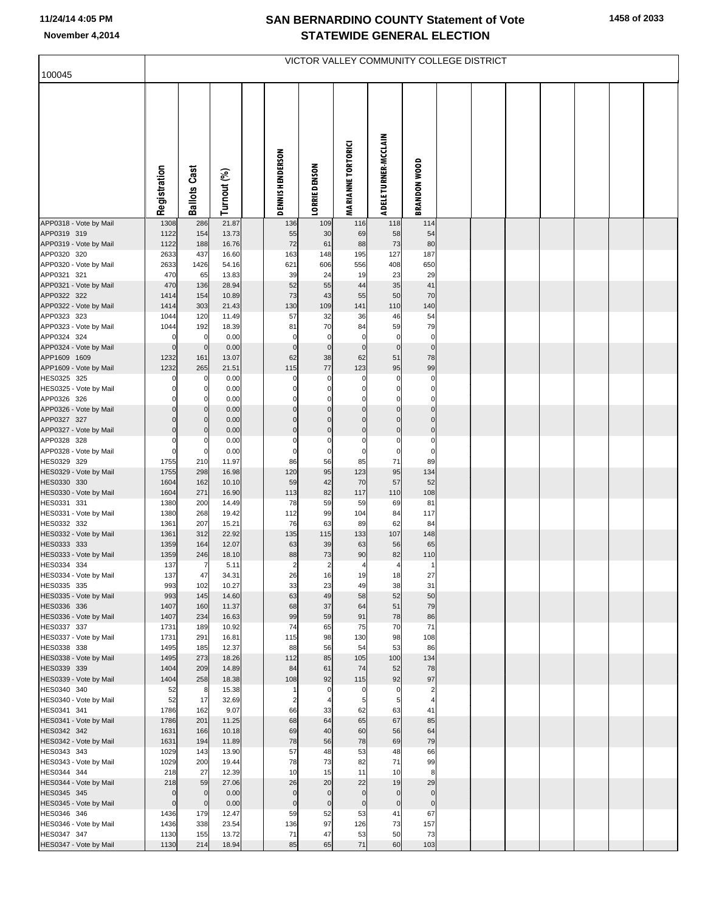|                                       |                     |                          |                |                         | VICTOR VALLEY COMMUNITY COLLEGE DISTRICT |                             |                             |                                  |  |  |  |  |
|---------------------------------------|---------------------|--------------------------|----------------|-------------------------|------------------------------------------|-----------------------------|-----------------------------|----------------------------------|--|--|--|--|
| 100045                                |                     |                          |                |                         |                                          |                             |                             |                                  |  |  |  |  |
|                                       | Registration        | <b>Ballots Cast</b>      | Turnout (%)    | <b>DENNIS HENDERSON</b> | <b>LORRIE DENSON</b>                     | <b>MARIANNE TORTORICI</b>   | <b>ADELE TURNER-MCCLAIN</b> | <b>BRANDON WOOD</b>              |  |  |  |  |
| APP0318 - Vote by Mail                | 1308                | 286                      | 21.87          | 136                     | 109                                      | 116                         | 118                         | 114                              |  |  |  |  |
| APP0319 319<br>APP0319 - Vote by Mail | 1122<br>1122        | 154<br>188               | 13.73<br>16.76 | 55<br>72                | 30<br>61                                 | 69<br>88                    | 58<br>73                    | 54<br>80                         |  |  |  |  |
| APP0320 320                           | 2633                | 437                      | 16.60          | 163                     | 148                                      | 195                         | 127                         | 187                              |  |  |  |  |
| APP0320 - Vote by Mail                | 2633                | 1426                     | 54.16          | 621                     | 606                                      | 556                         | 408                         | 650                              |  |  |  |  |
| APP0321 321                           | 470                 | 65                       | 13.83          | 39                      | 24                                       | 19                          | 23                          | 29                               |  |  |  |  |
| APP0321 - Vote by Mail<br>APP0322 322 | 470<br>1414         | 136<br>154               | 28.94<br>10.89 | 52<br>73                | 55<br>43                                 | 44<br>55                    | 35<br>50                    | 41<br>70                         |  |  |  |  |
| APP0322 - Vote by Mail                | 1414                | 303                      | 21.43          | 130                     | 109                                      | 141                         | 110                         | 140                              |  |  |  |  |
| APP0323 323                           | 1044                | 120                      | 11.49          | 57                      | 32                                       | 36                          | 46                          | 54                               |  |  |  |  |
| APP0323 - Vote by Mail<br>APP0324 324 | 1044<br>$\mathbf 0$ | 192<br>$\mathbf 0$       | 18.39<br>0.00  | 81<br>$\mathbf 0$       | 70<br>0                                  | 84<br>$\mathbf 0$           | 59<br>$\mathbf 0$           | 79<br>$\pmb{0}$                  |  |  |  |  |
| APP0324 - Vote by Mail                | $\Omega$            | $\mathbf 0$              | 0.00           | $\mathbf 0$             | $\pmb{0}$                                | $\overline{0}$              | $\mathbf 0$                 | $\pmb{0}$                        |  |  |  |  |
| APP1609 1609                          | 1232                | 161                      | 13.07          | 62                      | 38                                       | 62                          | 51                          | 78                               |  |  |  |  |
| APP1609 - Vote by Mail                | 1232                | 265                      | 21.51          | 115                     | 77                                       | 123                         | 95                          | 99                               |  |  |  |  |
| HES0325 325<br>HES0325 - Vote by Mail | $\Omega$            | 0                        | 0.00<br>0.00   | C                       | 0<br>0                                   | 0<br>0                      | O                           | 0<br>$\Omega$                    |  |  |  |  |
| APP0326 326                           |                     | $\Omega$                 | 0.00           |                         | $\Omega$                                 | $\mathbf 0$                 |                             | $\Omega$                         |  |  |  |  |
| APP0326 - Vote by Mail                |                     | $\Omega$                 | 0.00           |                         | $\Omega$                                 | $\pmb{0}$                   |                             | $\mathbf 0$                      |  |  |  |  |
| APP0327 327<br>APP0327 - Vote by Mail |                     | $\mathbf{0}$<br>$\Omega$ | 0.00<br>0.00   | $\Omega$<br>$\Omega$    | $\Omega$<br>$\Omega$                     | $\overline{0}$<br>$\pmb{0}$ |                             | $\pmb{0}$<br>$\pmb{0}$           |  |  |  |  |
| APP0328 328                           | $\Omega$            |                          | 0.00           | C                       | 0                                        | $\mathbf 0$                 | 0                           | 0                                |  |  |  |  |
| APP0328 - Vote by Mail                | $\Omega$            | 0                        | 0.00           | C                       | 0                                        | $\mathbf 0$                 | $\Omega$                    | $\Omega$                         |  |  |  |  |
| HES0329 329<br>HES0329 - Vote by Mail | 1755<br>1755        | 210<br>298               | 11.97<br>16.98 | 86<br>120               | 56<br>95                                 | 85<br>123                   | 71<br>95                    | 89<br>134                        |  |  |  |  |
| HES0330 330                           | 1604                | 162                      | 10.10          | 59                      | 42                                       | 70                          | 57                          | 52                               |  |  |  |  |
| HES0330 - Vote by Mail                | 1604                | 271                      | 16.90          | 113                     | 82                                       | 117                         | 110                         | 108                              |  |  |  |  |
| HES0331 331                           | 1380                | 200                      | 14.49          | 78                      | 59                                       | 59                          | 69                          | 81                               |  |  |  |  |
| HES0331 - Vote by Mail<br>HES0332 332 | 1380<br>1361        | 268<br>207               | 19.42<br>15.21 | 112<br>76               | 99<br>63                                 | 104<br>89                   | 84<br>62                    | 117<br>84                        |  |  |  |  |
| HES0332 - Vote by Mail                | 1361                | 312                      | 22.92          | 135                     | 115                                      | 133                         | 107                         | 148                              |  |  |  |  |
| HES0333 333                           | 1359                | 164                      | 12.07          | 63                      | 39                                       | 63                          | 56                          | 65                               |  |  |  |  |
| HES0333 - Vote by Mail<br>HES0334 334 | 1359<br>137         | 246<br>$\overline{7}$    | 18.10<br>5.11  | 88<br>$\overline{2}$    | 73<br>$\overline{2}$                     | 90<br>4                     | 82<br>$\overline{4}$        | 110<br>$\mathbf{1}$              |  |  |  |  |
| HES0334 - Vote by Mail                | 137                 | 47                       | 34.31          | 26                      | 16                                       | 19                          | 18                          | 27                               |  |  |  |  |
| HES0335 335                           | 993                 | 102                      | 10.27          | 33                      | 23                                       | 49                          | 38                          | 31                               |  |  |  |  |
| HES0335 - Vote by Mail                | 993                 | 145                      | 14.60          | 63                      | 49                                       | 58                          | 52                          | 50                               |  |  |  |  |
| HES0336 336<br>HES0336 - Vote by Mail | 1407<br>1407        | 160<br>234               | 11.37<br>16.63 | 68<br>99                | 37<br>59                                 | 64<br>91                    | 51<br>78                    | 79<br>86                         |  |  |  |  |
| HES0337 337                           | 1731                | 189                      | 10.92          | 74                      | 65                                       | 75                          | 70                          | 71                               |  |  |  |  |
| HES0337 - Vote by Mail                | 1731                | 291                      | 16.81          | 115                     | 98                                       | 130                         | 98                          | 108                              |  |  |  |  |
| HES0338 338<br>HES0338 - Vote by Mail | 1495<br>1495        | 185<br>273               | 12.37<br>18.26 | 88<br>112               | 56<br>85                                 | 54<br>105                   | 53<br>100                   | 86<br>134                        |  |  |  |  |
| HES0339 339                           | 1404                | 209                      | 14.89          | 84                      | 61                                       | 74                          | 52                          | 78                               |  |  |  |  |
| HES0339 - Vote by Mail                | 1404                | 258                      | 18.38          | 108                     | 92                                       | 115                         | 92                          | 97                               |  |  |  |  |
| HES0340 340<br>HES0340 - Vote by Mail | 52<br>52            | 8<br>17                  | 15.38<br>32.69 | 1<br>$\overline{2}$     | 0<br>4                                   | 0<br>5                      | 0<br>5                      | $\overline{c}$<br>$\overline{4}$ |  |  |  |  |
| HES0341 341                           | 1786                | 162                      | 9.07           | 66                      | 33                                       | 62                          | 63                          | 41                               |  |  |  |  |
| HES0341 - Vote by Mail                | 1786                | 201                      | 11.25          | 68                      | 64                                       | 65                          | 67                          | 85                               |  |  |  |  |
| HES0342 342                           | 1631                | 166                      | 10.18          | 69                      | 40                                       | 60                          | 56                          | 64                               |  |  |  |  |
| HES0342 - Vote by Mail<br>HES0343 343 | 1631<br>1029        | 194<br>143               | 11.89<br>13.90 | 78<br>57                | 56<br>48                                 | 78<br>53                    | 69<br>48                    | 79<br>66                         |  |  |  |  |
| HES0343 - Vote by Mail                | 1029                | 200                      | 19.44          | 78                      | 73                                       | 82                          | 71                          | 99                               |  |  |  |  |
| HES0344 344                           | 218                 | 27                       | 12.39          | 10                      | 15                                       | 11                          | 10                          | 8                                |  |  |  |  |
| HES0344 - Vote by Mail<br>HES0345 345 | 218<br>$\pmb{0}$    | 59<br>$\mathbf 0$        | 27.06<br>0.00  | 26<br>$\mathbf 0$       | 20<br>$\mathbf 0$                        | 22<br>$\overline{0}$        | 19<br>$\mathbf 0$           | 29<br>$\overline{0}$             |  |  |  |  |
| HES0345 - Vote by Mail                | $\mathbf 0$         | $\mathbf 0$              | 0.00           | $\mathbf 0$             | $\pmb{0}$                                | $\overline{0}$              | $\mathbf 0$                 | $\overline{0}$                   |  |  |  |  |
| HES0346 346                           | 1436                | 179                      | 12.47          | 59                      | 52                                       | 53                          | 41                          | 67                               |  |  |  |  |
| HES0346 - Vote by Mail                | 1436                | 338                      | 23.54          | 136                     | 97                                       | 126                         | 73                          | 157                              |  |  |  |  |
| HES0347 347<br>HES0347 - Vote by Mail | 1130<br>1130        | 155<br>214               | 13.72<br>18.94 | 71<br>85                | 47<br>65                                 | 53<br>$\bf 71$              | 50<br>60                    | 73<br>103                        |  |  |  |  |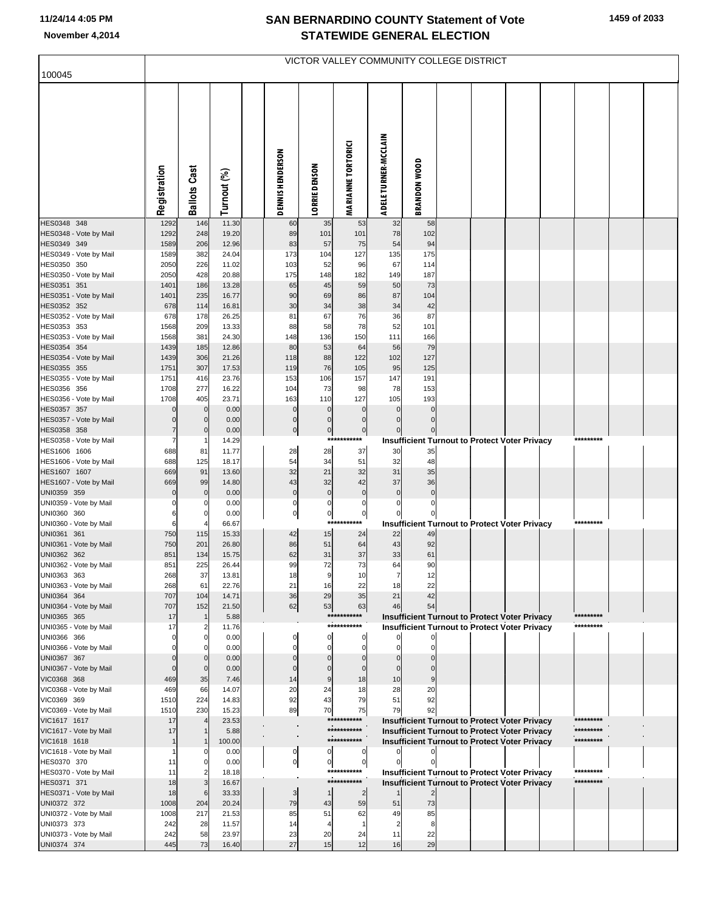| 100045                                 |              |                     |                |                    |                      |                               |                         | VICTOR VALLEY COMMUNITY COLLEGE DISTRICT                                                                     |  |  |                        |  |
|----------------------------------------|--------------|---------------------|----------------|--------------------|----------------------|-------------------------------|-------------------------|--------------------------------------------------------------------------------------------------------------|--|--|------------------------|--|
|                                        |              |                     |                |                    |                      |                               |                         |                                                                                                              |  |  |                        |  |
|                                        |              |                     |                |                    |                      |                               |                         |                                                                                                              |  |  |                        |  |
|                                        |              |                     |                |                    |                      |                               |                         |                                                                                                              |  |  |                        |  |
|                                        |              |                     |                |                    |                      |                               |                         |                                                                                                              |  |  |                        |  |
|                                        |              |                     |                |                    |                      |                               |                         |                                                                                                              |  |  |                        |  |
|                                        |              |                     |                |                    |                      |                               |                         |                                                                                                              |  |  |                        |  |
|                                        |              |                     |                |                    |                      |                               |                         |                                                                                                              |  |  |                        |  |
|                                        |              |                     |                |                    |                      |                               |                         |                                                                                                              |  |  |                        |  |
|                                        | Registration | <b>Ballots Cast</b> | Turnout (%)    | DENNIS HENDERSON   | <b>LORRIE DENSON</b> | <b>MARIANNE TORTORICI</b>     | ADELE TURNER-MCCLAIN    | <b>BRANDON WOOD</b>                                                                                          |  |  |                        |  |
| HES0348 348                            | 1292         | 146                 | 11.30          | 60                 | 35                   | 53                            | 32                      | 58                                                                                                           |  |  |                        |  |
| HES0348 - Vote by Mail                 | 1292         | 248                 | 19.20          | 89                 | 101                  | 101                           | 78                      | 102                                                                                                          |  |  |                        |  |
| HES0349 349                            | 1589         | 206                 | 12.96          | 83                 | 57                   | 75                            | 54                      | 94                                                                                                           |  |  |                        |  |
| HES0349 - Vote by Mail                 | 1589         | 382                 | 24.04          | 173                | 104                  | 127                           | 135                     | 175                                                                                                          |  |  |                        |  |
| HES0350 350<br>HES0350 - Vote by Mail  | 2050<br>2050 | 226<br>428          | 11.02<br>20.88 | 103<br>175         | 52<br>148            | 96<br>182                     | 67<br>149               | 114<br>187                                                                                                   |  |  |                        |  |
| HES0351 351                            | 1401         | 186                 | 13.28          | 65                 | 45                   | 59                            | 50                      | 73                                                                                                           |  |  |                        |  |
| HES0351 - Vote by Mail                 | 1401         | 235                 | 16.77          | 90                 | 69                   | 86                            | 87                      | 104                                                                                                          |  |  |                        |  |
| HES0352 352<br>HES0352 - Vote by Mail  | 678<br>678   | 114<br>178          | 16.81<br>26.25 | 30<br>81           | 34<br>67             | 38<br>76                      | 34<br>36                | 42<br>87                                                                                                     |  |  |                        |  |
| HES0353 353                            | 1568         | 209                 | 13.33          | 88                 | 58                   | 78                            | 52                      | 101                                                                                                          |  |  |                        |  |
| HES0353 - Vote by Mail                 | 1568         | 381                 | 24.30          | 148                | 136                  | 150                           | 111                     | 166                                                                                                          |  |  |                        |  |
| HES0354 354                            | 1439         | 185                 | 12.86          | 80                 | 53                   | 64                            | 56                      | 79<br>127                                                                                                    |  |  |                        |  |
| HES0354 - Vote by Mail<br>HES0355 355  | 1439<br>1751 | 306<br>307          | 21.26<br>17.53 | 118<br>119         | 88<br>76             | 122<br>105                    | 102<br>95               | 125                                                                                                          |  |  |                        |  |
| HES0355 - Vote by Mail                 | 1751         | 416                 | 23.76          | 153                | 106                  | 157                           | 147                     | 191                                                                                                          |  |  |                        |  |
| HES0356 356                            | 1708         | 277                 | 16.22          | 104                | 73                   | 98                            | 78                      | 153                                                                                                          |  |  |                        |  |
| HES0356 - Vote by Mail<br>HES0357 357  | 1708         | 405<br>$\mathbf 0$  | 23.71<br>0.00  | 163<br>$\mathbf 0$ | 110<br>$\Omega$      | 127<br>$\Omega$               | 105<br>$\Omega$         | 193<br>$\Omega$                                                                                              |  |  |                        |  |
| HES0357 - Vote by Mail                 |              |                     | 0.00           | $\mathbf 0$        | $\mathbf 0$          | $\mathbf 0$                   | $\Omega$                | $\mathbf{0}$                                                                                                 |  |  |                        |  |
| HES0358 358                            |              | $\mathbf 0$         | 0.00           | $\mathbf 0$        | $\mathbf 0$          | $\overline{0}$                |                         |                                                                                                              |  |  |                        |  |
| HES0358 - Vote by Mail                 |              |                     | 14.29          |                    |                      | ***********                   |                         | <b>Insufficient Turnout to Protect Voter Privacy</b>                                                         |  |  | *********              |  |
| HES1606 1606<br>HES1606 - Vote by Mail | 688<br>688   | 81<br>125           | 11.77<br>18.17 | 28<br>54           | 28<br>34             | 37<br>51                      | 30<br>32                | 35<br>48                                                                                                     |  |  |                        |  |
| HES1607 1607                           | 669          | 91                  | 13.60          | 32                 | 21                   | 32                            | 31                      | 35                                                                                                           |  |  |                        |  |
| HES1607 - Vote by Mail                 | 669          | 99                  | 14.80          | 43                 | 32                   | 42                            | 37                      | 36                                                                                                           |  |  |                        |  |
| UNI0359 359<br>UNI0359 - Vote by Mail  | $\Omega$     | $\mathbf 0$         | 0.00<br>0.00   | $\pmb{0}$<br>0     | $\mathbf 0$<br>0     | $\mathbf 0$<br>0              | $\mathbf 0$<br>$\Omega$ | $\mathbf 0$<br>$\Omega$                                                                                      |  |  |                        |  |
| UNI0360 360                            | 6            | 0                   | 0.00           | $\mathbf 0$        | $\pmb{0}$            | $\overline{0}$                |                         |                                                                                                              |  |  |                        |  |
| UNI0360 - Vote by Mail                 | 6            |                     | 66.67          |                    | $***$                | ***                           |                         | <b>Insufficient Turnout to Protect Voter Privacy</b>                                                         |  |  | *********              |  |
| UNI0361 361                            | 750          | 115                 | 15.33          | 42                 | 15                   | 24                            | 22<br>43                | 49                                                                                                           |  |  |                        |  |
| UNI0361 - Vote by Mail<br>UNI0362 362  | 750<br>851   | 201<br>134          | 26.80<br>15.75 | 86<br>62           | 51<br>31             | 64<br>37                      | 33                      | 92<br>61                                                                                                     |  |  |                        |  |
| UNI0362 - Vote by Mail                 | 851          | 225                 | 26.44          | 99                 | 72                   | 73                            | 64                      | 90                                                                                                           |  |  |                        |  |
| UNI0363 363                            | 268          | 37                  | 13.81          | 18                 |                      | 10                            |                         | 12                                                                                                           |  |  |                        |  |
| UNI0363 - Vote by Mail<br>UNI0364 364  | 268<br>707   | 61<br>104           | 22.76<br>14.71 | 21<br>36           | 16<br>29             | 22<br>35                      | 18<br>21                | 22<br>42                                                                                                     |  |  |                        |  |
| UNI0364 - Vote by Mail                 | 707          | 152                 | 21.50          | 62                 | 53                   | 63                            | 46                      | 54                                                                                                           |  |  |                        |  |
| UNI0365 365                            | 17           |                     | 5.88           |                    |                      | ***********                   |                         | <b>Insufficient Turnout to Protect Voter Privacy</b>                                                         |  |  | *********              |  |
| UNI0365 - Vote by Mail<br>UNI0366 366  | 17           |                     | 11.76<br>0.00  | C                  | 0                    | ***********<br>0              |                         | <b>Insufficient Turnout to Protect Voter Privacy</b>                                                         |  |  | *********              |  |
| UNI0366 - Vote by Mail                 |              |                     | 0.00           |                    | O                    | $\Omega$                      |                         |                                                                                                              |  |  |                        |  |
| UNI0367 367                            |              |                     | 0.00           |                    | 0                    |                               |                         |                                                                                                              |  |  |                        |  |
| UNI0367 - Vote by Mail                 |              |                     | 0.00           |                    | C                    |                               |                         |                                                                                                              |  |  |                        |  |
| VIC0368 368<br>VIC0368 - Vote by Mail  | 469<br>469   | 35<br>66            | 7.46<br>14.07  | 14<br>20           | 9<br>24              | 18<br>18                      | 10<br>28                | 20                                                                                                           |  |  |                        |  |
| VIC0369 369                            | 1510         | 224                 | 14.83          | 92                 | 43                   | 79                            | 51                      | 92                                                                                                           |  |  |                        |  |
| VIC0369 - Vote by Mail                 | 1510         | 230                 | 15.23          | 89                 | 70                   | 75                            | 79                      | 92                                                                                                           |  |  |                        |  |
| VIC1617 1617<br>VIC1617 - Vote by Mail | 17<br>17     |                     | 23.53<br>5.88  |                    |                      | ***********<br>***********    |                         | Insufficient Turnout to Protect Voter Privacy<br><b>Insufficient Turnout to Protect Voter Privacy</b>        |  |  | *********<br>********* |  |
| VIC1618 1618                           |              |                     | 100.00         |                    |                      | ***********                   |                         | Insufficient Turnout to Protect Voter Privacy                                                                |  |  | *********              |  |
| VIC1618 - Vote by Mail                 |              |                     | 0.00           | 0                  | 0                    | $\mathbf{0}$                  |                         |                                                                                                              |  |  |                        |  |
| HES0370 370                            | 11           |                     | 0.00           | $\mathbf 0$        | $\mathbf{0}$         | $\overline{0}$<br>*********** |                         |                                                                                                              |  |  | *********              |  |
| HES0370 - Vote by Mail<br>HES0371 371  | 11<br>18     |                     | 18.18<br>16.67 |                    |                      | ***********                   |                         | <b>Insufficient Turnout to Protect Voter Privacy</b><br><b>Insufficient Turnout to Protect Voter Privacy</b> |  |  | *********              |  |
| HES0371 - Vote by Mail                 | 18           | 6                   | 33.33          | 3                  | $\overline{1}$       | $\overline{2}$                |                         |                                                                                                              |  |  |                        |  |
| UNI0372 372                            | 1008         | 204                 | 20.24          | 79                 | 43                   | 59                            | 51                      | 73                                                                                                           |  |  |                        |  |
| UNI0372 - Vote by Mail<br>UNI0373 373  | 1008         | 217                 | 21.53<br>11.57 | 85                 | 51<br>$\overline{4}$ | 62                            | 49                      | 85<br>8                                                                                                      |  |  |                        |  |
| UNI0373 - Vote by Mail                 | 242<br>242   | 28<br>58            | 23.97          | 14<br>23           | 20                   | 24                            | 11                      | 22                                                                                                           |  |  |                        |  |
| UNI0374 374                            | 445          | 73                  | 16.40          | 27                 | 15                   | 12                            | 16                      | 29                                                                                                           |  |  |                        |  |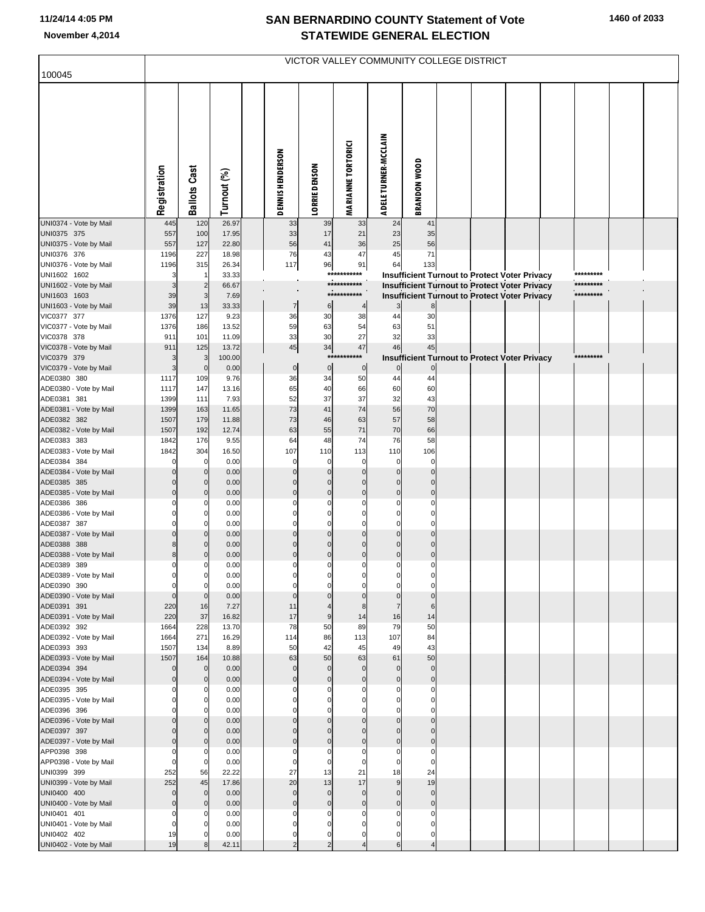| 100045                                |              |                     |                |                  |                         |                            | VICTOR VALLEY COMMUNITY COLLEGE DISTRICT |                     |                                                      |  |           |  |
|---------------------------------------|--------------|---------------------|----------------|------------------|-------------------------|----------------------------|------------------------------------------|---------------------|------------------------------------------------------|--|-----------|--|
|                                       |              |                     |                |                  |                         |                            |                                          |                     |                                                      |  |           |  |
|                                       | Registration | <b>Ballots Cast</b> | Turnout (%)    | DENNIS HENDERSON | <b>LORRIE DENSON</b>    | <b>MARIANNE TORTORICI</b>  | ADELE TURNER-MCCLAIN                     | <b>BRANDON WOOD</b> |                                                      |  |           |  |
| UNI0374 - Vote by Mail                | 445          | 120                 | 26.97          | 33               | 39                      | 33                         | 24                                       | 41                  |                                                      |  |           |  |
| UNI0375 375                           | 557          | 100                 | 17.95          | 33               | 17                      | 21                         | 23                                       | 35                  |                                                      |  |           |  |
| UNI0375 - Vote by Mail<br>UNI0376 376 | 557<br>1196  | 127<br>227          | 22.80<br>18.98 | 56<br>76         | 41<br>43                | 36<br>47                   | 25<br>45                                 | 56<br>71            |                                                      |  |           |  |
| UNI0376 - Vote by Mail                | 1196         | 315                 | 26.34          | 117              | 96                      | 91                         | 64                                       | 133                 |                                                      |  |           |  |
| UNI1602 1602                          | 3            |                     | 33.33          |                  |                         | ***********                |                                          |                     | <b>Insufficient Turnout to Protect Voter Privacy</b> |  | ********* |  |
| UNI1602 - Vote by Mail                | 3            | $\overline{c}$      | 66.67          |                  |                         | ***********<br>*********** |                                          |                     | <b>Insufficient Turnout to Protect Voter Privacy</b> |  | ********* |  |
| UNI1603 1603                          | 39<br>39     | $\mathbf{3}$<br>13  | 7.69<br>33.33  | $\overline{7}$   |                         | 4                          | $\overline{\mathbf{3}}$                  | 8                   | <b>Insufficient Turnout to Protect Voter Privacy</b> |  | ********* |  |
| UNI1603 - Vote by Mail<br>VIC0377 377 | 1376         | 127                 | 9.23           | 36               | 6<br>30                 | 38                         | 44                                       | 30                  |                                                      |  |           |  |
| VIC0377 - Vote by Mail                | 1376         | 186                 | 13.52          | 59               | 63                      | 54                         | 63                                       | 51                  |                                                      |  |           |  |
| VIC0378 378                           | 911          | 101                 | 11.09          | 33               | 30                      | 27                         | 32                                       | 33                  |                                                      |  |           |  |
| VIC0378 - Vote by Mail                | 911          | 125                 | 13.72          | $\bf 45$         | 34                      | 47                         | 46                                       | 45                  |                                                      |  |           |  |
| VIC0379 379                           | 3<br>3       | 3<br>$\mathbf 0$    | 100.00         | $\overline{0}$   | ***<br>$\overline{0}$   | *******<br>$\overline{0}$  | $\overline{0}$                           | $\mathbf 0$         | <b>Insufficient Turnout to Protect Voter Privacy</b> |  | ********* |  |
| VIC0379 - Vote by Mail<br>ADE0380 380 | 1117         | 109                 | 0.00<br>9.76   | 36               | 34                      | 50                         | 44                                       | 44                  |                                                      |  |           |  |
| ADE0380 - Vote by Mail                | 1117         | 147                 | 13.16          | 65               | 40                      | 66                         | 60                                       | 60                  |                                                      |  |           |  |
| ADE0381 381                           | 1399         | 111                 | 7.93           | 52               | 37                      | 37                         | 32                                       | 43                  |                                                      |  |           |  |
| ADE0381 - Vote by Mail                | 1399         | 163                 | 11.65          | 73               | 41                      | 74                         | 56                                       | 70                  |                                                      |  |           |  |
| ADE0382 382                           | 1507         | 179                 | 11.88          | 73               | 46                      | 63                         | 57                                       | 58                  |                                                      |  |           |  |
| ADE0382 - Vote by Mail<br>ADE0383 383 | 1507<br>1842 | 192<br>176          | 12.74<br>9.55  | 63<br>64         | 55<br>48                | 71<br>74                   | 70<br>76                                 | 66<br>58            |                                                      |  |           |  |
| ADE0383 - Vote by Mail                | 1842         | 304                 | 16.50          | 107              | 110                     | 113                        | 110                                      | 106                 |                                                      |  |           |  |
| ADE0384 384                           | $\Omega$     | $\Omega$            | 0.00           | $\Omega$         | $\mathbf 0$             | 0                          | $\mathbf 0$                              | $\Omega$            |                                                      |  |           |  |
| ADE0384 - Vote by Mail                |              | $\mathbf 0$         | 0.00           |                  | $\mathbf{0}$            | $\Omega$                   | $\Omega$                                 |                     |                                                      |  |           |  |
| ADE0385 385                           |              | $\mathbf 0$         | 0.00           |                  | $\mathbf{0}$            | $\Omega$                   | $\Omega$                                 | $\Omega$            |                                                      |  |           |  |
| ADE0385 - Vote by Mail<br>ADE0386 386 | $\Omega$     | $\overline{0}$      | 0.00<br>0.00   |                  | $\mathbf 0$<br>$\Omega$ | $\Omega$                   | $\Omega$                                 | 0                   |                                                      |  |           |  |
| ADE0386 - Vote by Mail                |              | $\mathbf 0$         | 0.00           |                  | $\Omega$                |                            |                                          |                     |                                                      |  |           |  |
| ADE0387 387                           |              | $\Omega$            | 0.00           |                  | $\Omega$                |                            |                                          |                     |                                                      |  |           |  |
| ADE0387 - Vote by Mail                |              | $\Omega$            | 0.00           |                  | $\mathbf{0}$            |                            |                                          |                     |                                                      |  |           |  |
| ADE0388 388                           |              | $\mathbf{0}$        | 0.00           |                  | $\mathbf{0}$            |                            |                                          |                     |                                                      |  |           |  |
| ADE0388 - Vote by Mail<br>ADE0389 389 | 8            | $\Omega$            | 0.00<br>0.00   | $\Omega$         | $\mathbf{0}$            |                            |                                          |                     |                                                      |  |           |  |
| ADE0389 - Vote by Mail                |              |                     | 0.00           |                  |                         |                            |                                          |                     |                                                      |  |           |  |
| ADE0390 390                           | $\mathbf 0$  | $\mathbf 0$         | 0.00           | $\Omega$         |                         |                            |                                          |                     |                                                      |  |           |  |
| ADE0390 - Vote by Mail                | $\Omega$     | $\Omega$            | 0.00           |                  | $\mathbf{0}$            |                            | $\Omega$                                 |                     |                                                      |  |           |  |
| ADE0391 391                           | 220          | 16                  | 7.27           | 11               |                         |                            |                                          | 6                   |                                                      |  |           |  |
| ADE0391 - Vote by Mail<br>ADE0392 392 | 220<br>1664  | 37<br>228           | 16.82<br>13.70 | 17<br>78         | 9<br>50                 | 14<br>89                   | 16<br>79                                 | 14<br>50            |                                                      |  |           |  |
| ADE0392 - Vote by Mail                | 1664         | 271                 | 16.29          | 114              | 86                      | 113                        | 107                                      | 84                  |                                                      |  |           |  |
| ADE0393 393                           | 1507         | 134                 | 8.89           | 50               | 42                      | 45                         | 49                                       | 43                  |                                                      |  |           |  |
| ADE0393 - Vote by Mail                | 1507         | 164                 | 10.88          | 63               | 50                      | 63                         | 61                                       | 50                  |                                                      |  |           |  |
| ADE0394 394                           | $\Omega$     | $\overline{0}$      | 0.00           | $\Omega$         | $\mathbf 0$             | $\mathbf{0}$               | $\mathbf{0}$                             | $\mathbf 0$         |                                                      |  |           |  |
| ADE0394 - Vote by Mail<br>ADE0395 395 |              | $\mathbf{0}$        | 0.00<br>0.00   |                  | $\mathbf 0$             |                            |                                          | $\Omega$            |                                                      |  |           |  |
| ADE0395 - Vote by Mail                |              | 0                   | 0.00           |                  |                         |                            |                                          |                     |                                                      |  |           |  |
| ADE0396 396                           |              |                     | 0.00           |                  |                         |                            |                                          |                     |                                                      |  |           |  |
| ADE0396 - Vote by Mail                |              | $\mathbf 0$         | 0.00           |                  |                         |                            |                                          |                     |                                                      |  |           |  |
| ADE0397 397                           |              | $\Omega$            | 0.00           |                  |                         |                            |                                          |                     |                                                      |  |           |  |
| ADE0397 - Vote by Mail<br>APP0398 398 |              | $\Omega$            | 0.00<br>0.00   |                  |                         |                            |                                          |                     |                                                      |  |           |  |
| APP0398 - Vote by Mail                | $\Omega$     | $\Omega$            | 0.00           |                  | 0                       |                            |                                          |                     |                                                      |  |           |  |
| UNI0399 399                           | 252          | 56                  | 22.22          | 27               | 13                      | 21                         | 18                                       | 24                  |                                                      |  |           |  |
| UNI0399 - Vote by Mail                | 252          | 45                  | 17.86          | 20               | 13                      | 17                         | 9                                        | 19                  |                                                      |  |           |  |
| UNI0400 400                           | $\Omega$     | $\overline{0}$      | 0.00           | $\Omega$         | $\mathbf 0$             | $\mathbf 0$                | $\Omega$                                 | $\Omega$            |                                                      |  |           |  |
| UNI0400 - Vote by Mail<br>UNI0401 401 | 0            | $\Omega$            | 0.00<br>0.00   |                  | $\mathbf 0$             |                            |                                          | 0                   |                                                      |  |           |  |
| UNI0401 - Vote by Mail                | $\Omega$     |                     | 0.00           |                  |                         |                            |                                          |                     |                                                      |  |           |  |
| UNI0402 402                           | 19           |                     | 0.00           | 0                | 0                       |                            |                                          |                     |                                                      |  |           |  |
| UNI0402 - Vote by Mail                | 19           |                     | 42.11          |                  |                         |                            |                                          |                     |                                                      |  |           |  |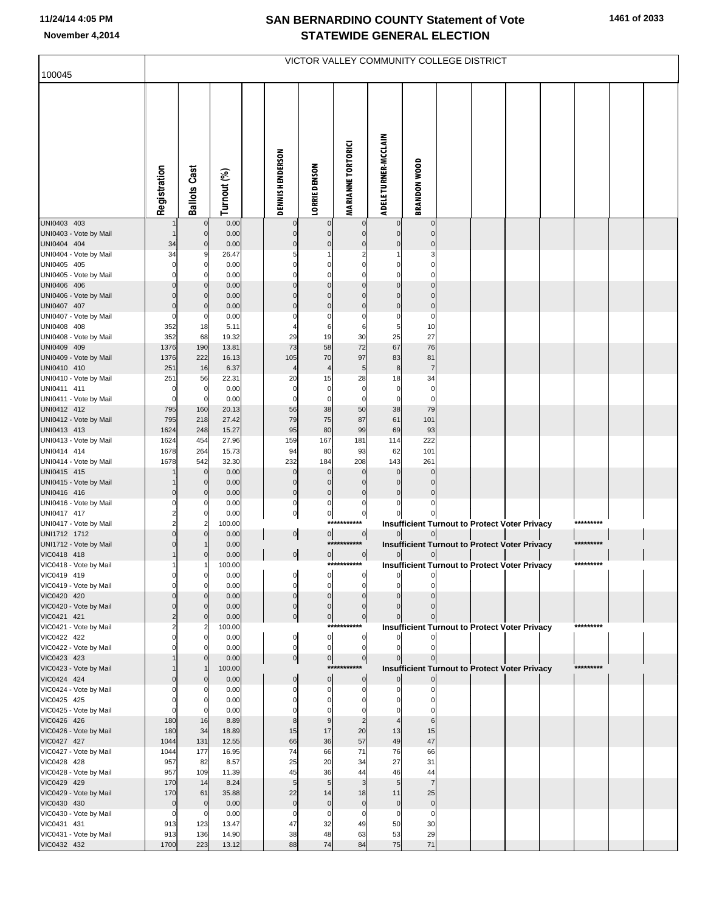| 100045                                |                            |                                |                |                          |                            | VICTOR VALLEY COMMUNITY COLLEGE DISTRICT |                               |                            |  |                                                      |           |  |
|---------------------------------------|----------------------------|--------------------------------|----------------|--------------------------|----------------------------|------------------------------------------|-------------------------------|----------------------------|--|------------------------------------------------------|-----------|--|
|                                       | Registration               | <b>Ballots Cast</b>            | Turnout (%)    | DENNIS HENDERSON         | LORRIE DENSON              | <b>MARIANNE TORTORICI</b>                | ADELE TURNER-MCCLAIN          | <b>BRANDON WOOD</b>        |  |                                                      |           |  |
| UNI0403 403<br>UNI0403 - Vote by Mail |                            | $\mathbf{0}$<br>$\overline{0}$ | 0.00<br>0.00   | $\mathbf 0$              | $\mathbf 0$<br>$\mathbf 0$ | $\mathbf 0$<br>$\mathbf 0$               | $\mathbf 0$<br>$\mathbf 0$    | $\mathbf 0$<br>$\mathbf 0$ |  |                                                      |           |  |
| UNI0404 404                           | 34                         | $\overline{0}$                 | 0.00           | $\mathbf 0$              | $\mathbf 0$                | $\mathbf 0$                              | $\Omega$                      | $\mathbf 0$                |  |                                                      |           |  |
| UNI0404 - Vote by Mail                | 34<br>$\mathbf 0$          |                                | 26.47          | 5<br>$\Omega$            | $\Omega$                   | $\mathbf 0$                              | $\mathbf 0$                   | 3<br>$\mathbf 0$           |  |                                                      |           |  |
| UNI0405 405<br>UNI0405 - Vote by Mail | $\mathbf 0$                | 0<br>0                         | 0.00<br>0.00   | $\Omega$                 | $\Omega$                   | $\Omega$                                 | $\Omega$                      | $\mathbf 0$                |  |                                                      |           |  |
| UNI0406 406                           | $\mathbf 0$                | $\overline{0}$                 | 0.00           | $\Omega$                 | $\mathbf 0$                | $\overline{0}$                           | $\overline{0}$                | $\overline{0}$             |  |                                                      |           |  |
| UNI0406 - Vote by Mail                | $\Omega$                   | $\Omega$                       | 0.00           | $\Omega$                 | $\Omega$                   | $\Omega$                                 | $\Omega$                      | $\mathbf 0$                |  |                                                      |           |  |
| UNI0407 407                           | $\mathbf 0$                | $\mathbf 0$                    | 0.00           | $\Omega$                 | $\mathbf 0$                | $\mathbf 0$                              | $\overline{0}$                | $\pmb{0}$                  |  |                                                      |           |  |
| UNI0407 - Vote by Mail<br>UNI0408 408 | 0<br>352                   | $\Omega$<br>18                 | 0.00<br>5.11   | 0                        | $\Omega$<br>6              | 0<br>6                                   | 0<br>5                        | $\mathbf 0$<br>10          |  |                                                      |           |  |
| UNI0408 - Vote by Mail                | 352                        | 68                             | 19.32          | 29                       | 19                         | 30                                       | 25                            | 27                         |  |                                                      |           |  |
| UNI0409 409                           | 1376                       | 190                            | 13.81          | 73                       | 58                         | 72                                       | 67                            | 76                         |  |                                                      |           |  |
| UNI0409 - Vote by Mail                | 1376                       | 222                            | 16.13          | 105                      | 70                         | 97                                       | 83                            | 81                         |  |                                                      |           |  |
| UNI0410 410                           | 251                        | 16                             | 6.37           | 4                        | $\overline{4}$             | 5                                        | 8                             | $\overline{7}$             |  |                                                      |           |  |
| UNI0410 - Vote by Mail<br>UNI0411 411 | 251<br>0                   | 56<br>0                        | 22.31<br>0.00  | 20<br>$\mathbf 0$        | 15<br>$\pmb{0}$            | 28<br>$\pmb{0}$                          | 18<br>$\mathbf 0$             | 34<br>$\pmb{0}$            |  |                                                      |           |  |
| UNI0411 - Vote by Mail                | $\mathbf 0$                | $\mathbf 0$                    | 0.00           | $\mathbf 0$              | $\mathbf 0$                | $\mathbf 0$                              | $\mathbf 0$                   | $\mathbf 0$                |  |                                                      |           |  |
| UNI0412 412                           | 795                        | 160                            | 20.13          | 56                       | 38                         | 50                                       | 38                            | 79                         |  |                                                      |           |  |
| UNI0412 - Vote by Mail                | 795                        | 218                            | 27.42          | 79                       | 75                         | 87                                       | 61                            | 101                        |  |                                                      |           |  |
| UNI0413 413<br>UNI0413 - Vote by Mail | 1624<br>1624               | 248<br>454                     | 15.27<br>27.96 | 95<br>159                | 80<br>167                  | 99<br>181                                | 69<br>114                     | 93<br>222                  |  |                                                      |           |  |
| UNI0414 414                           | 1678                       | 264                            | 15.73          | 94                       | 80                         | 93                                       | 62                            | 101                        |  |                                                      |           |  |
| UNI0414 - Vote by Mail                | 1678                       | 542                            | 32.30          | 232                      | 184                        | 208                                      | 143                           | 261                        |  |                                                      |           |  |
| UNI0415 415                           |                            | 0                              | 0.00           | $\mathbf 0$              | $\mathbf 0$                | $\mathbf 0$                              | $\Omega$                      | $\mathcal{C}$              |  |                                                      |           |  |
| UNI0415 - Vote by Mail                |                            | $\mathbf{0}$                   | 0.00           | $\mathbf 0$              | $\mathbf 0$<br>$\mathbf 0$ | $\mathbf 0$<br>$\mathbf 0$               | $\Omega$                      | $\Omega$                   |  |                                                      |           |  |
| UNI0416 416<br>UNI0416 - Vote by Mail | $\mathbf 0$<br>0           | $\overline{0}$                 | 0.00<br>0.00   | $\pmb{0}$<br>$\pmb{0}$   | $\mathbf 0$                | $\mathbf 0$                              | $\mathbf 0$                   | $\mathbf 0$<br>C           |  |                                                      |           |  |
| UNI0417 417                           | $\overline{\mathbf{c}}$    | $\mathbf 0$                    | 0.00           | $\overline{0}$           | $\overline{0}$             | $\pmb{0}$                                |                               |                            |  |                                                      |           |  |
| UNI0417 - Vote by Mail                | $\overline{2}$             | $\overline{2}$                 | 100.00         |                          | ***                        |                                          |                               |                            |  | <b>Insufficient Turnout to Protect Voter Privacy</b> | ********* |  |
| UNI1712 1712                          | $\mathbf 0$                | $\Omega$                       | 0.00           | $\overline{0}$           | $\overline{0}$             | $\overline{0}$                           | $\overline{0}$                | 이                          |  |                                                      |           |  |
| UNI1712 - Vote by Mail<br>VIC0418 418 | $\mathbf 0$                |                                | 0.00<br>0.00   | 0                        | $\circ$                    | ***********<br> 0                        | $\overline{0}$                | 0                          |  | <b>Insufficient Turnout to Protect Voter Privacy</b> | ********* |  |
| VIC0418 - Vote by Mail                |                            |                                | 100.00         |                          |                            | ***********                              |                               |                            |  | <b>Insufficient Turnout to Protect Voter Privacy</b> | ********* |  |
| VIC0419 419                           |                            |                                | 0.00           | $\sim$                   |                            |                                          |                               | $\sim$                     |  |                                                      |           |  |
| VIC0419 - Vote by Mail                | $\Omega$                   | 0                              | 0.00           | 0                        | 0                          | $\Omega$                                 | $\Omega$                      | C                          |  |                                                      |           |  |
| VIC0420 420                           | $\mathbf 0$<br>$\mathbf 0$ |                                | 0.00<br>0.00   | $\mathbf 0$              | $\mathbf 0$<br>$\mathbf 0$ | $\mathbf 0$<br>$\Omega$                  | $\Omega$                      | $\Omega$<br>$\Omega$       |  |                                                      |           |  |
| VIC0420 - Vote by Mail<br>VIC0421 421 | $\overline{c}$             | $\mathbf{0}$                   | 0.00           | $\mathbf 0$<br>$\pmb{0}$ | $\overline{0}$             | $\overline{0}$                           | $\mathbf 0$                   | $\mathbf 0$                |  |                                                      |           |  |
| VIC0421 - Vote by Mail                | 2                          |                                | 100.00         |                          | ***                        |                                          |                               |                            |  | <b>Insufficient Turnout to Protect Voter Privacy</b> | ********* |  |
| VIC0422 422                           | $\mathbf 0$                | 0                              | 0.00           | $\pmb{0}$                | $\pmb{0}$                  | $\circ$                                  |                               |                            |  |                                                      |           |  |
| VIC0422 - Vote by Mail<br>VIC0423 423 |                            |                                | 0.00<br>0.00   | $\mathbf 0$              | $\mathbf 0$<br> 0          | $\overline{0}$<br>$\overline{0}$         | $\mathbf 0$<br>$\overline{0}$ | $\mathbf 0$<br>$\mathbf 0$ |  |                                                      |           |  |
| VIC0423 - Vote by Mail                |                            |                                | 100.00         | $\overline{0}$           | $***$                      |                                          |                               |                            |  | <b>Insufficient Turnout to Protect Voter Privacy</b> | ********* |  |
| VIC0424 424                           |                            | $\Omega$                       | 0.00           | $\mathbf 0$              | $\pmb{0}$                  | $\mathbf 0$                              |                               | $\mathbf 0$                |  |                                                      |           |  |
| VIC0424 - Vote by Mail                |                            |                                | 0.00           | 0                        | $\Omega$                   | $\Omega$                                 |                               | $\Omega$                   |  |                                                      |           |  |
| VIC0425 425<br>VIC0425 - Vote by Mail | $\Omega$<br>$\Omega$       |                                | 0.00           | $\Omega$<br>$\Omega$     | 0<br>O                     | $\mathbf 0$<br>$\Omega$                  |                               | $\Omega$<br>$\mathsf{C}$   |  |                                                      |           |  |
| VIC0426 426                           | 180                        | 16                             | 0.00<br>8.89   | 8                        | $\boldsymbol{9}$           | $\overline{c}$                           |                               | 6                          |  |                                                      |           |  |
| VIC0426 - Vote by Mail                | 180                        | 34                             | 18.89          | 15                       | 17                         | 20                                       | 13                            | 15                         |  |                                                      |           |  |
| VIC0427 427                           | 1044                       | 131                            | 12.55          | 66                       | 36                         | 57                                       | 49                            | 47                         |  |                                                      |           |  |
| VIC0427 - Vote by Mail                | 1044                       | 177                            | 16.95          | 74                       | 66                         | 71                                       | 76                            | 66                         |  |                                                      |           |  |
| VIC0428 428<br>VIC0428 - Vote by Mail | 957<br>957                 | 82<br>109                      | 8.57<br>11.39  | 25<br>45                 | 20<br>36                   | 34<br>44                                 | 27<br>46                      | 31<br>44                   |  |                                                      |           |  |
| VIC0429 429                           | 170                        | 14                             | 8.24           | 5                        | 5                          | 3                                        | 5                             | $\overline{7}$             |  |                                                      |           |  |
| VIC0429 - Vote by Mail                | 170                        | 61                             | 35.88          | 22                       | 14                         | 18                                       | 11                            | 25                         |  |                                                      |           |  |
| VIC0430 430                           | $\overline{0}$             | $\mathbf 0$                    | 0.00           | $\mathbf 0$              | $\mathbf 0$                | $\mathbf 0$                              | $\pmb{0}$                     | $\pmb{0}$                  |  |                                                      |           |  |
| VIC0430 - Vote by Mail                | 0                          | 0                              | 0.00           | 0                        | 0                          | $\mathbf 0$                              | $\mathbf 0$                   | $\mathbf 0$                |  |                                                      |           |  |
| VIC0431 431<br>VIC0431 - Vote by Mail | 913<br>913                 | 123<br>136                     | 13.47<br>14.90 | 47<br>38                 | 32<br>48                   | 49<br>63                                 | 50<br>53                      | 30<br>29                   |  |                                                      |           |  |
| VIC0432 432                           | 1700                       | 223                            | 13.12          | 88                       | 74                         | 84                                       | 75                            | 71                         |  |                                                      |           |  |
|                                       |                            |                                |                |                          |                            |                                          |                               |                            |  |                                                      |           |  |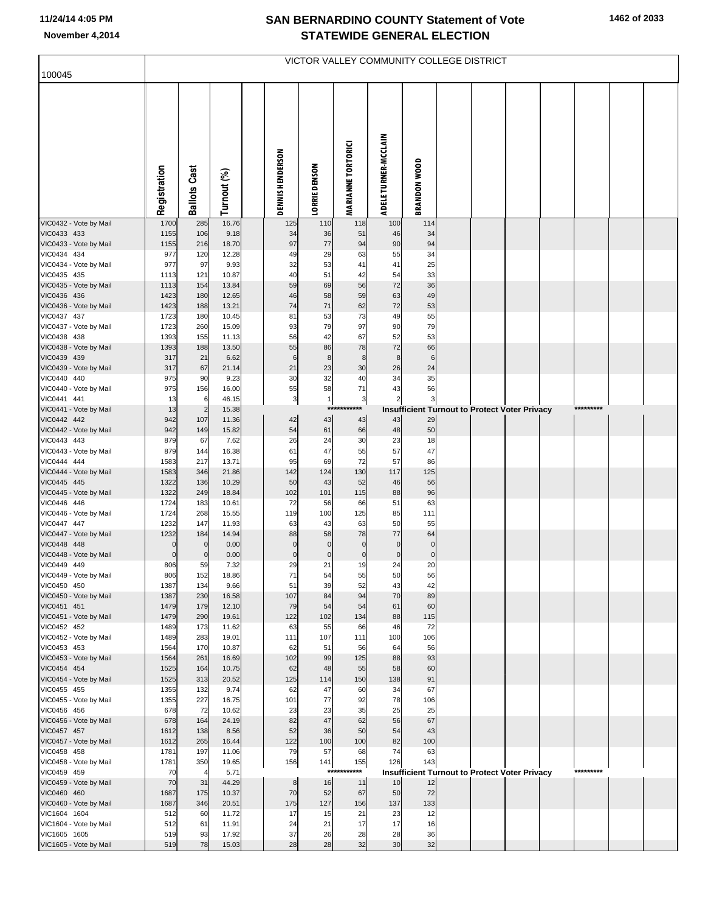| 100045                                 |              |                       |                |                         |                      |                           |                      |                     | VICTOR VALLEY COMMUNITY COLLEGE DISTRICT             |  |           |  |
|----------------------------------------|--------------|-----------------------|----------------|-------------------------|----------------------|---------------------------|----------------------|---------------------|------------------------------------------------------|--|-----------|--|
|                                        |              |                       |                |                         |                      |                           |                      |                     |                                                      |  |           |  |
|                                        | Registration | <b>Ballots Cast</b>   | Turnout (%)    | <b>DENNIS HENDERSON</b> | <b>LORRIE DENSON</b> | <b>MARIANNE TORTORICI</b> | ADELE TURNER-MCCLAIN | <b>BRANDON WOOD</b> |                                                      |  |           |  |
| VIC0432 - Vote by Mail                 | 1700         | 285                   | 16.76          | 125                     | 110                  | 118                       | 100                  | 114                 |                                                      |  |           |  |
| VIC0433 433<br>VIC0433 - Vote by Mail  | 1155<br>1155 | 106<br>216            | 9.18<br>18.70  | 34<br>97                | 36<br>77             | 51<br>94                  | 46<br>90             | 34<br>94            |                                                      |  |           |  |
| VIC0434 434                            | 977          | 120                   | 12.28          | 49                      | 29                   | 63                        | 55                   | 34                  |                                                      |  |           |  |
| VIC0434 - Vote by Mail                 | 977          | 97                    | 9.93           | 32                      | 53                   | 41                        | 41                   | 25                  |                                                      |  |           |  |
| VIC0435 435                            | 1113         | 121                   | 10.87          | 40                      | 51                   | 42                        | 54                   | 33                  |                                                      |  |           |  |
| VIC0435 - Vote by Mail                 | 1113         | 154                   | 13.84          | 59                      | 69                   | 56                        | 72                   | 36                  |                                                      |  |           |  |
| VIC0436 436                            | 1423         | 180                   | 12.65          | 46                      | 58                   | 59                        | 63                   | 49                  |                                                      |  |           |  |
| VIC0436 - Vote by Mail<br>VIC0437 437  | 1423<br>1723 | 188<br>180            | 13.21<br>10.45 | 74<br>81                | 71<br>53             | 62<br>73                  | 72<br>49             | 53<br>55            |                                                      |  |           |  |
| VIC0437 - Vote by Mail                 | 1723         | 260                   | 15.09          | 93                      | 79                   | 97                        | 90                   | 79                  |                                                      |  |           |  |
| VIC0438 438                            | 1393         | 155                   | 11.13          | 56                      | 42                   | 67                        | 52                   | 53                  |                                                      |  |           |  |
| VIC0438 - Vote by Mail                 | 1393         | 188                   | 13.50          | 55                      | 86                   | 78                        | 72                   | 66                  |                                                      |  |           |  |
| VIC0439 439                            | 317          | 21                    | 6.62           | $\,$ 6                  | $\bf8$               | 8                         | 8                    | 6                   |                                                      |  |           |  |
| VIC0439 - Vote by Mail                 | 317          | 67                    | 21.14          | 21                      | 23                   | 30                        | 26                   | 24                  |                                                      |  |           |  |
| VIC0440 440<br>VIC0440 - Vote by Mail  | 975<br>975   | 90<br>156             | 9.23<br>16.00  | 30<br>55                | 32<br>58             | 40<br>71                  | 34<br>43             | 35<br>56            |                                                      |  |           |  |
| VIC0441 441                            | 13           | 6                     | 46.15          | $\overline{\mathbf{3}}$ | 1                    | $\overline{\mathbf{3}}$   | $\overline{2}$       | 3                   |                                                      |  |           |  |
| VIC0441 - Vote by Mail                 | 13           | $\overline{2}$        | 15.38          |                         | $***$                | ****                      |                      |                     | <b>Insufficient Turnout to Protect Voter Privacy</b> |  | ********* |  |
| VIC0442 442                            | 942          | 107                   | 11.36          | 42                      | 43                   | 43                        | 43                   | 29                  |                                                      |  |           |  |
| VIC0442 - Vote by Mail                 | 942          | 149                   | 15.82          | 54                      | 61                   | 66                        | 48                   | 50                  |                                                      |  |           |  |
| VIC0443 443<br>VIC0443 - Vote by Mail  | 879<br>879   | 67<br>144             | 7.62<br>16.38  | 26<br>61                | 24<br>47             | 30<br>55                  | 23<br>57             | 18<br>47            |                                                      |  |           |  |
| VIC0444 444                            | 1583         | 217                   | 13.71          | 95                      | 69                   | 72                        | 57                   | 86                  |                                                      |  |           |  |
| VIC0444 - Vote by Mail                 | 1583         | 346                   | 21.86          | 142                     | 124                  | 130                       | 117                  | 125                 |                                                      |  |           |  |
| VIC0445 445                            | 1322         | 136                   | 10.29          | 50                      | 43                   | 52                        | 46                   | 56                  |                                                      |  |           |  |
| VIC0445 - Vote by Mail                 | 1322         | 249                   | 18.84          | 102                     | 101                  | 115                       | 88                   | 96                  |                                                      |  |           |  |
| VIC0446 446<br>VIC0446 - Vote by Mail  | 1724<br>1724 | 183<br>268            | 10.61<br>15.55 | 72<br>119               | 56<br>100            | 66<br>125                 | 51<br>85             | 63<br>111           |                                                      |  |           |  |
| VIC0447 447                            | 1232         | 147                   | 11.93          | 63                      | 43                   | 63                        | 50                   | 55                  |                                                      |  |           |  |
| VIC0447 - Vote by Mail                 | 1232         | 184                   | 14.94          | 88                      | 58                   | 78                        | 77                   | 64                  |                                                      |  |           |  |
| VIC0448 448                            | $\mathbf 0$  | $\mathbf{0}$          | 0.00           | $\mathbf 0$             | $\pmb{0}$            | $\mathbf 0$               | $\mathbf 0$          | $\mathbf 0$         |                                                      |  |           |  |
| VIC0448 - Vote by Mail                 | $\mathbf 0$  | $\mathbf 0$           | 0.00           | $\pmb{0}$               | $\pmb{0}$            | $\pmb{0}$                 | $\pmb{0}$            | $\mathbf 0$         |                                                      |  |           |  |
| VIC0449 449<br>VIC0449 - Vote by Mail  | 806<br>806   | 59<br>152             | 7.32<br>18.86  | 29<br>71                | 21<br>54             | 19<br>55                  | 24<br>50             | 20<br>56            |                                                      |  |           |  |
| VIC0450 450                            | 1387         | 134                   | 9.66           | 51                      | 39                   | 52                        | 43                   | 42                  |                                                      |  |           |  |
| VIC0450 - Vote by Mail                 | 1387         | 230                   | 16.58          | 107                     | 84                   | 94                        | 70                   | 89                  |                                                      |  |           |  |
| VIC0451 451                            | 1479         | 179                   | 12.10          | 79                      | 54                   | 54                        | 61                   | 60                  |                                                      |  |           |  |
| VIC0451 - Vote by Mail                 | 1479         | 290                   | 19.61          | 122                     | 102                  | 134                       | 88                   | 115                 |                                                      |  |           |  |
| VIC0452 452<br>VIC0452 - Vote by Mail  | 1489<br>1489 | 173<br>283            | 11.62<br>19.01 | 63<br>111               | 55<br>107            | 66<br>111                 | 46<br>100            | 72<br>106           |                                                      |  |           |  |
| VIC0453 453                            | 1564         | 170                   | 10.87          | 62                      | 51                   | 56                        | 64                   | 56                  |                                                      |  |           |  |
| VIC0453 - Vote by Mail                 | 1564         | 261                   | 16.69          | 102                     | 99                   | 125                       | 88                   | 93                  |                                                      |  |           |  |
| VIC0454 454                            | 1525         | 164                   | 10.75          | 62                      | 48                   | 55                        | 58                   | 60                  |                                                      |  |           |  |
| VIC0454 - Vote by Mail                 | 1525         | 313                   | 20.52          | 125                     | 114                  | 150                       | 138                  | 91                  |                                                      |  |           |  |
| VIC0455 455<br>VIC0455 - Vote by Mail  | 1355<br>1355 | 132<br>227            | 9.74<br>16.75  | 62<br>101               | 47<br>77             | 60<br>92                  | 34<br>78             | 67                  |                                                      |  |           |  |
| VIC0456 456                            | 678          | 72                    | 10.62          | 23                      | 23                   | 35                        | 25                   | 106<br>25           |                                                      |  |           |  |
| VIC0456 - Vote by Mail                 | 678          | 164                   | 24.19          | 82                      | 47                   | 62                        | 56                   | 67                  |                                                      |  |           |  |
| VIC0457 457                            | 1612         | 138                   | 8.56           | 52                      | 36                   | 50                        | 54                   | 43                  |                                                      |  |           |  |
| VIC0457 - Vote by Mail                 | 1612         | 265                   | 16.44          | 122                     | 100                  | 100                       | 82                   | 100                 |                                                      |  |           |  |
| VIC0458 458                            | 1781         | 197                   | 11.06          | 79                      | 57                   | 68                        | 74                   | 63                  |                                                      |  |           |  |
| VIC0458 - Vote by Mail<br>VIC0459 459  | 1781<br>70   | 350<br>$\overline{4}$ | 19.65<br>5.71  | 156                     | 141                  | 155<br>***********        | 126                  | 143                 | Insufficient Turnout to Protect Voter Privacy        |  | ********* |  |
| VIC0459 - Vote by Mail                 | 70           | 31                    | 44.29          | 8                       | 16                   | 11                        | 10                   | 12                  |                                                      |  |           |  |
| VIC0460 460                            | 1687         | 175                   | 10.37          | 70                      | 52                   | 67                        | 50                   | 72                  |                                                      |  |           |  |
| VIC0460 - Vote by Mail                 | 1687         | 346                   | 20.51          | 175                     | 127                  | 156                       | 137                  | 133                 |                                                      |  |           |  |
| VIC1604 1604                           | 512          | 60                    | 11.72          | 17                      | 15                   | 21                        | 23                   | 12                  |                                                      |  |           |  |
| VIC1604 - Vote by Mail<br>VIC1605 1605 | 512<br>519   | 61<br>93              | 11.91<br>17.92 | 24<br>37                | 21<br>26             | 17<br>28                  | 17<br>28             | 16<br>36            |                                                      |  |           |  |
| VIC1605 - Vote by Mail                 | 519          | 78                    | 15.03          | 28                      | 28                   | 32                        | 30                   | 32                  |                                                      |  |           |  |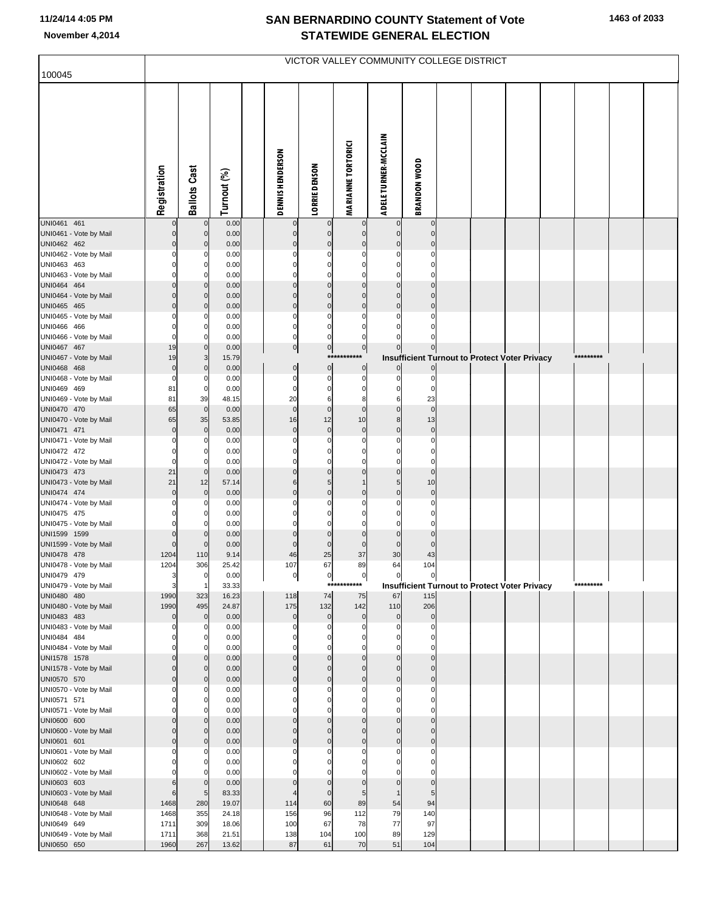| 100045                                |                         |                            |                |                               |                                |                             |                             |                          | VICTOR VALLEY COMMUNITY COLLEGE DISTRICT             |  |           |  |
|---------------------------------------|-------------------------|----------------------------|----------------|-------------------------------|--------------------------------|-----------------------------|-----------------------------|--------------------------|------------------------------------------------------|--|-----------|--|
|                                       |                         |                            |                |                               |                                |                             |                             |                          |                                                      |  |           |  |
|                                       | Registration            | <b>Ballots Cast</b>        | Turnout (%)    | <b>DENNIS HENDERSON</b>       | <b>LORRIE DENSON</b>           | <b>MARIANNE TORTORICI</b>   | <b>ADELE TURNER-MCCLAIN</b> | <b>BRANDON WOOD</b>      |                                                      |  |           |  |
| UNI0461 461<br>UNI0461 - Vote by Mail | 0<br>$\Omega$           | $\mathbf 0$<br>$\mathbf 0$ | 0.00<br>0.00   | 0<br>$\pmb{0}$                | $\bf{0}$<br>$\overline{0}$     | 0<br>$\mathbf 0$            | $\mathbf 0$                 | $\pmb{0}$<br>$\pmb{0}$   |                                                      |  |           |  |
| UNI0462 462                           | $\Omega$                | $\mathbf 0$                | 0.00           | $\mathbf 0$                   | $\overline{0}$                 | $\mathbf 0$                 | $\mathbf 0$                 | $\pmb{0}$                |                                                      |  |           |  |
| UNI0462 - Vote by Mail                |                         | C                          | 0.00           | $\Omega$                      | $\Omega$                       | $\Omega$                    | $\Omega$                    | $\Omega$                 |                                                      |  |           |  |
| UNI0463 463                           |                         | 0                          | 0.00           | $\Omega$<br>$\Omega$          | $\Omega$<br>$\Omega$           | $\Omega$                    | $\Omega$                    | 0<br>$\Omega$            |                                                      |  |           |  |
| UNI0463 - Vote by Mail<br>UNI0464 464 | ŋ<br>$\Omega$           | $\Omega$<br>$\mathbf 0$    | 0.00<br>0.00   | $\Omega$                      | $\overline{0}$                 | $\Omega$<br>$\mathbf 0$     | $\Omega$<br>$\pmb{0}$       | $\pmb{0}$                |                                                      |  |           |  |
| UNI0464 - Vote by Mail                | $\Omega$                | $\mathbf 0$                | 0.00           | $\Omega$                      | $\Omega$                       | $\Omega$                    | $\Omega$                    | $\mathbf 0$              |                                                      |  |           |  |
| UNI0465 465                           | $\Omega$                | $\mathbf 0$                | 0.00           | $\pmb{0}$                     | $\overline{0}$                 | $\mathbf 0$                 | $\pmb{0}$                   | $\pmb{0}$                |                                                      |  |           |  |
| UNI0465 - Vote by Mail                | O                       | C                          | 0.00           | $\Omega$                      | $\Omega$                       | $\Omega$                    |                             | $\Omega$                 |                                                      |  |           |  |
| UNI0466 466                           | ŋ<br>$\Omega$           | 0<br>$\Omega$              | 0.00           | 0                             | 0                              | 0                           | $\Omega$                    | $\Omega$<br>$\Omega$     |                                                      |  |           |  |
| UNI0466 - Vote by Mail<br>UNI0467 467 | 19                      | $\mathbf 0$                | 0.00<br>0.00   | $\mathbf 0$<br>$\overline{0}$ | $\overline{0}$<br>$\mathbf{0}$ | 0<br> 0                     | $\pmb{0}$                   | $\overline{0}$           |                                                      |  |           |  |
| UNI0467 - Vote by Mail                | 19                      | 3                          | 15.79          |                               | ***                            |                             |                             |                          | <b>Insufficient Turnout to Protect Voter Privacy</b> |  | ********* |  |
| UNI0468 468                           | $\overline{0}$          | $\mathbf 0$                | 0.00           | $\overline{0}$                | $\overline{0}$                 | $\pmb{0}$                   |                             | $\mathbf 0$              |                                                      |  |           |  |
| UNI0468 - Vote by Mail                | $\Omega$                | C                          | 0.00           | $\mathbf 0$                   | $\overline{0}$                 | $\mathbf 0$                 | 0                           | $\pmb{0}$                |                                                      |  |           |  |
| UNI0469 469                           | 81<br>81                | 0<br>39                    | 0.00<br>48.15  | $\mathbf 0$<br>20             | 0<br>6                         | 0<br>8                      | 0<br>6                      | $\Omega$<br>23           |                                                      |  |           |  |
| UNI0469 - Vote by Mail<br>UNI0470 470 | 65                      | $\mathbf 0$                | 0.00           | $\mathbf 0$                   | $\overline{0}$                 | $\mathbf 0$                 | $\pmb{0}$                   | $\mathbf 0$              |                                                      |  |           |  |
| UNI0470 - Vote by Mail                | 65                      | 35                         | 53.85          | 16                            | 12                             | 10                          | 8                           | 13                       |                                                      |  |           |  |
| UNI0471 471                           | $\Omega$                | $\pmb{0}$                  | 0.00           | $\pmb{0}$                     | $\mathbf 0$                    | $\mathbf 0$                 | $\pmb{0}$                   | $\pmb{0}$                |                                                      |  |           |  |
| UNI0471 - Vote by Mail                | O                       | C                          | 0.00           | $\Omega$                      | $\Omega$                       | $\Omega$                    |                             | $\Omega$                 |                                                      |  |           |  |
| UNI0472 472<br>UNI0472 - Vote by Mail | O<br>$\Omega$           | 0<br>$\Omega$              | 0.00<br>0.00   | 0<br>$\Omega$                 | 0<br>$\mathbf 0$               | 0<br>$\Omega$               | $\Omega$<br>$\Omega$        | 0<br>$\mathbf 0$         |                                                      |  |           |  |
| UNI0473 473                           | 21                      | $\mathbf 0$                | 0.00           | $\Omega$                      | $\overline{0}$                 | $\mathbf 0$                 | $\pmb{0}$                   | $\pmb{0}$                |                                                      |  |           |  |
| UNI0473 - Vote by Mail                | 21                      | 12                         | 57.14          | 6                             | 5 <sub>5</sub>                 | $\mathbf{1}$                | 5                           | 10                       |                                                      |  |           |  |
| UNI0474 474                           | $\Omega$                | $\mathbf 0$                | 0.00           | $\Omega$                      | $\mathbf 0$                    | $\mathbf 0$                 | $\pmb{0}$                   | $\pmb{0}$                |                                                      |  |           |  |
| UNI0474 - Vote by Mail                | O                       | C                          | 0.00           | $\Omega$                      | $\Omega$                       | $\Omega$                    | $\Omega$                    | $\mathbf 0$              |                                                      |  |           |  |
| UNI0475 475<br>UNI0475 - Vote by Mail | ŋ                       | 0<br>$\mathcal{C}$         | 0.00<br>0.00   | $\Omega$                      | $\Omega$<br>$\Omega$           | $\Omega$<br>$\Omega$        | $\Omega$<br>$\Omega$        | $\pmb{0}$<br>$\Omega$    |                                                      |  |           |  |
| UNI1599 1599                          | $\Omega$                | $\mathbf 0$                | 0.00           | $\Omega$                      | $\overline{0}$                 | $\mathbf 0$                 | $\mathbf 0$                 | $\pmb{0}$                |                                                      |  |           |  |
| UNI1599 - Vote by Mail                | $\Omega$                | $\mathbf 0$                | 0.00           | $\mathbf{0}$                  | $\mathbf 0$                    | $\mathbf 0$                 | $\mathbf 0$                 | $\pmb{0}$                |                                                      |  |           |  |
| UNI0478 478                           | 1204                    | 110                        | 9.14           | 46                            | 25                             | 37                          | 30                          | 43                       |                                                      |  |           |  |
| UNI0478 - Vote by Mail                | 1204                    | 306                        | 25.42          | 107                           | 67                             | 89                          | 64                          | 104                      |                                                      |  |           |  |
| UNI0479 479<br>UNI0479 - Vote by Mail | $\overline{\mathbf{3}}$ | -1                         | 0.00<br>33.33  | υ                             | 익                              | $\mathsf{u}$<br>*********** | υ                           | υ                        | <b>Insufficient Turnout to Protect Voter Privacy</b> |  | ********* |  |
| UNI0480 480                           | 1990                    | 323                        | 16.23          | 118                           | 74                             | 75                          | 67                          | 115                      |                                                      |  |           |  |
| UNI0480 - Vote by Mail                | 1990                    | 495                        | 24.87          | 175                           | 132                            | 142                         | 110                         | 206                      |                                                      |  |           |  |
| UNI0483 483                           | $\Omega$                | $\mathbf 0$                | 0.00           | $\pmb{0}$                     | $\overline{0}$                 | $\mathbf 0$                 | $\mathbf 0$                 | $\pmb{0}$                |                                                      |  |           |  |
| UNI0483 - Vote by Mail<br>UNI0484 484 | O                       | C<br>0                     | 0.00<br>0.00   | $\Omega$<br>0                 | 0<br>0                         | 0<br>0                      | 0                           | $\Omega$<br>$\Omega$     |                                                      |  |           |  |
| UNI0484 - Vote by Mail                |                         | C                          | 0.00           |                               | $\Omega$                       | $\Omega$                    |                             | $\Omega$                 |                                                      |  |           |  |
| UNI1578 1578                          | O                       | $\mathbf 0$                | 0.00           | $\Omega$                      | $\overline{0}$                 | 0                           | $\mathbf 0$                 | $\pmb{0}$                |                                                      |  |           |  |
| UNI1578 - Vote by Mail                | $\Omega$                | $\Omega$                   | 0.00           | $\Omega$                      | $\Omega$                       | $\Omega$                    | $\mathbf 0$                 | $\pmb{0}$                |                                                      |  |           |  |
| UNI0570 570<br>UNI0570 - Vote by Mail | $\Omega$                | $\mathbf 0$<br>C           | 0.00<br>0.00   | $\mathbf 0$<br>$\Omega$       | $\overline{0}$<br>0            | $\mathbf 0$<br>0            | $\pmb{0}$<br>$\Omega$       | $\pmb{0}$<br>0           |                                                      |  |           |  |
| UNI0571 571                           |                         | 0                          | 0.00           | $\Omega$                      | 0                              | $\Omega$                    | $\Omega$                    | $\mathbf 0$              |                                                      |  |           |  |
| UNI0571 - Vote by Mail                |                         | C                          | 0.00           | $\Omega$                      | $\Omega$                       | $\Omega$                    | $\Omega$                    | $\mathbf 0$              |                                                      |  |           |  |
| UNI0600 600                           | O                       | $\mathbf 0$                | 0.00           | $\Omega$                      | $\overline{0}$                 | $\mathbf 0$                 | $\mathbf 0$                 | $\pmb{0}$                |                                                      |  |           |  |
| UNI0600 - Vote by Mail                | $\Omega$<br>$\Omega$    | $\Omega$                   | 0.00           | $\Omega$<br>$\mathbf 0$       | $\Omega$                       | $\Omega$                    | $\Omega$                    | $\mathbf 0$              |                                                      |  |           |  |
| UNI0601 601<br>UNI0601 - Vote by Mail |                         | $\mathbf 0$<br>C           | 0.00<br>0.00   | $\Omega$                      | $\overline{0}$<br>$\Omega$     | $\mathbf 0$                 | $\mathbf 0$                 | $\pmb{0}$<br>$\mathbf 0$ |                                                      |  |           |  |
| UNI0602 602                           |                         | 0                          | 0.00           |                               |                                |                             |                             | 0                        |                                                      |  |           |  |
| UNI0602 - Vote by Mail                |                         | C                          | 0.00           |                               |                                |                             |                             | $\Omega$                 |                                                      |  |           |  |
| UNI0603 603                           | 6                       | $\mathbf 0$                | 0.00           | $\Omega$                      | $\Omega$                       | $\Omega$                    | 0                           | $\mathbf 0$              |                                                      |  |           |  |
| UNI0603 - Vote by Mail                | 6                       | 5                          | 83.33<br>19.07 |                               | $\mathbf 0$<br>60              | 5<br>89                     |                             | 5<br>94                  |                                                      |  |           |  |
| UNI0648 648<br>UNI0648 - Vote by Mail | 1468<br>1468            | 280<br>355                 | 24.18          | 114<br>156                    | 96                             | 112                         | 54<br>79                    | 140                      |                                                      |  |           |  |
| UNI0649 649                           | 1711                    | 309                        | 18.06          | 100                           | 67                             | 78                          | 77                          | 97                       |                                                      |  |           |  |
| UNI0649 - Vote by Mail                | 1711                    | 368                        | 21.51          | 138                           | 104                            | 100                         | 89                          | 129                      |                                                      |  |           |  |
| UNI0650 650                           | 1960                    | 267                        | 13.62          | 87                            | 61                             | 70                          | 51                          | 104                      |                                                      |  |           |  |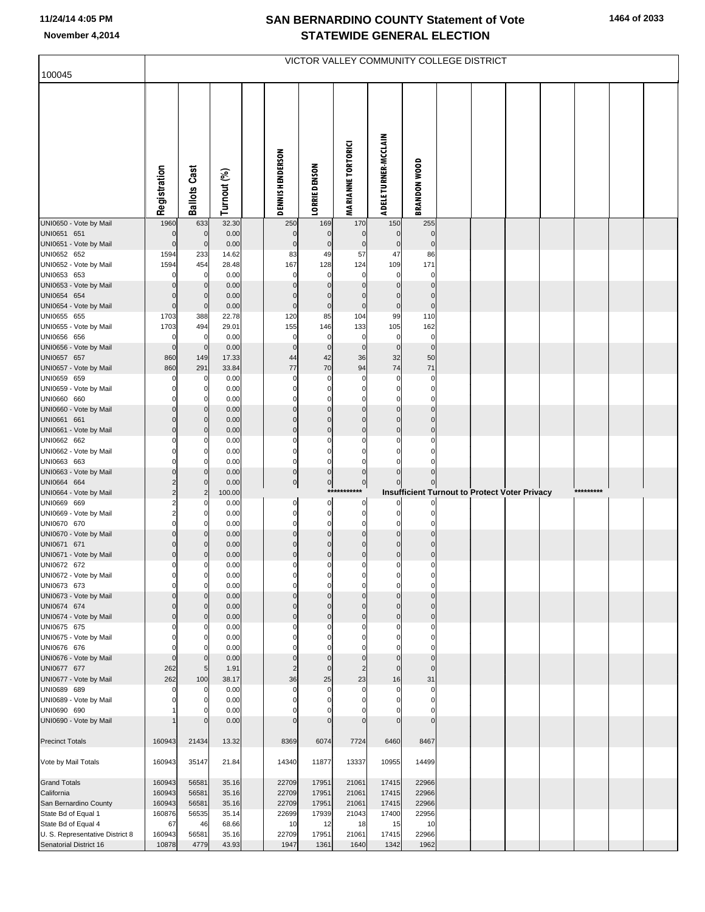|                                              |                  |                            |                |                            |                            |                           | VICTOR VALLEY COMMUNITY COLLEGE DISTRICT |                            |  |                                               |           |  |
|----------------------------------------------|------------------|----------------------------|----------------|----------------------------|----------------------------|---------------------------|------------------------------------------|----------------------------|--|-----------------------------------------------|-----------|--|
| 100045                                       |                  |                            |                |                            |                            |                           |                                          |                            |  |                                               |           |  |
|                                              | Registration     | <b>Ballots Cast</b>        | Turnout (%)    | DENNIS HENDERSON           | <b>LORRIE DENSON</b>       | <b>MARIANNE TORTORICI</b> | ADELE TURNER-MCCLAIN                     | <b>BRANDON WOOD</b>        |  |                                               |           |  |
| UNI0650 - Vote by Mail                       | 1960             | 633                        | 32.30          | 250                        | 169                        | 170                       | 150                                      | 255                        |  |                                               |           |  |
| UNI0651 651<br>UNI0651 - Vote by Mail        | $\mathbf 0$      | $\mathbf 0$<br>$\mathbf 0$ | 0.00<br>0.00   | $\mathbf 0$<br>$\mathbf 0$ | $\mathbf 0$<br>$\pmb{0}$   | $\pmb{0}$<br>$\pmb{0}$    | $\mathbf 0$<br>$\pmb{0}$                 | $\mathbf 0$<br>$\mathbf 0$ |  |                                               |           |  |
| UNI0652 652                                  | 1594             | 233                        | 14.62          | 83                         | 49                         | 57                        | 47                                       | 86                         |  |                                               |           |  |
| UNI0652 - Vote by Mail                       | 1594             | 454                        | 28.48          | 167                        | 128                        | 124                       | 109                                      | 171                        |  |                                               |           |  |
| UNI0653 653                                  |                  | $\mathbf 0$                | 0.00           | $\Omega$                   | $\Omega$                   | 0                         | $\mathbf 0$                              | 0                          |  |                                               |           |  |
| UNI0653 - Vote by Mail                       |                  | $\mathbf 0$                | 0.00           | $\Omega$                   | $\Omega$                   | $\Omega$                  | $\mathbf 0$<br>$\mathbf 0$               | $\Omega$<br>$\mathbf 0$    |  |                                               |           |  |
| UNI0654 654<br>UNI0654 - Vote by Mail        | $\Omega$         | $\mathbf 0$<br>$\mathbf 0$ | 0.00<br>0.00   | $\mathbf 0$                | 0<br>$\pmb{0}$             | $\pmb{0}$<br>$\pmb{0}$    | $\mathbf 0$                              | $\bf 0$                    |  |                                               |           |  |
| UNI0655 655                                  | 1703             | 388                        | 22.78          | 120                        | 85                         | 104                       | 99                                       | 110                        |  |                                               |           |  |
| UNI0655 - Vote by Mail                       | 1703             | 494                        | 29.01          | 155                        | 146                        | 133                       | 105                                      | 162                        |  |                                               |           |  |
| UNI0656 656                                  | 0                | 0                          | 0.00           | 0                          | 0                          | $\mathbf 0$               | $\mathbf 0$                              | $\mathbf 0$                |  |                                               |           |  |
| UNI0656 - Vote by Mail<br>UNI0657 657        | $\Omega$<br>860  | $\mathbf 0$<br>149         | 0.00<br>17.33  | $\mathbf{0}$<br>44         | $\mathbf 0$<br>42          | $\mathbf 0$<br>36         | $\mathbf 0$<br>32                        | $\mathbf 0$<br>50          |  |                                               |           |  |
| UNI0657 - Vote by Mail                       | 860              | 291                        | 33.84          | 77                         | 70                         | 94                        | 74                                       | 71                         |  |                                               |           |  |
| UNI0659 659                                  | $\Omega$         | 0                          | 0.00           | $\Omega$                   | $\Omega$                   | 0                         | $\mathbf 0$                              | 0                          |  |                                               |           |  |
| UNI0659 - Vote by Mail                       |                  | 0                          | 0.00           |                            | $\Omega$                   | $\Omega$                  | $\mathbf 0$                              | 0                          |  |                                               |           |  |
| UNI0660 660                                  |                  | 0                          | 0.00           | $\Omega$                   | 0                          | $\mathbf 0$               | $\mathbf 0$                              | $\mathbf 0$                |  |                                               |           |  |
| UNI0660 - Vote by Mail<br>UNI0661 661        | 0                | $\Omega$<br>$\mathbf 0$    | 0.00<br>0.00   | $\Omega$                   | $\Omega$<br>$\overline{0}$ | $\mathbf 0$<br>$\pmb{0}$  | $\mathbf 0$<br>$\mathbf 0$               | $\mathbf 0$<br>$\mathbf 0$ |  |                                               |           |  |
| UNI0661 - Vote by Mail                       | 0                | $\mathbf 0$                | 0.00           | $\Omega$                   | $\overline{0}$             | $\pmb{0}$                 | $\mathbf 0$                              | $\mathbf 0$                |  |                                               |           |  |
| UNI0662 662                                  | 0                | 0                          | 0.00           | $\Omega$                   | 0                          | 0                         | $\mathbf 0$                              | $\mathbf 0$                |  |                                               |           |  |
| UNI0662 - Vote by Mail                       |                  | 0                          | 0.00           | $\Omega$                   | $\Omega$                   | $\Omega$                  | $\Omega$                                 | $\Omega$                   |  |                                               |           |  |
| UNI0663 663                                  | ŋ                | 0                          | 0.00           | $\mathbf{0}$               | 0                          | $\mathbf 0$               | $\mathbf 0$                              | $\Omega$                   |  |                                               |           |  |
| UNI0663 - Vote by Mail<br>UNI0664 664        | 2                | $\Omega$<br>$\mathbf 0$    | 0.00<br>0.00   | $\overline{0}$<br>이        | $\pmb{0}$<br>$\mathbf{0}$  | $\pmb{0}$<br>$\mathbf 0$  | $\pmb{0}$<br>$\mathbf 0$                 |                            |  |                                               |           |  |
| UNI0664 - Vote by Mail                       | $\overline{2}$   | $\overline{2}$             | 100.00         |                            |                            | ***********               |                                          |                            |  | Insufficient Turnout to Protect Voter Privacy | ********* |  |
| UNI0669 669                                  | 2                | 0                          | 0.00           | 0                          | 0                          | 0                         | $\mathbf{0}$                             |                            |  |                                               |           |  |
| UNI0669 - Vote by Mail                       | 2                | 0                          | 0.00           | 0                          | 0                          | $\mathbf 0$               | $\mathbf 0$                              | 0                          |  |                                               |           |  |
| UNI0670 670<br>UNI0670 - Vote by Mail        | 0                | 0<br>$\Omega$              | 0.00<br>0.00   | $\mathbf{0}$<br>$\Omega$   | 0<br>$\Omega$              | $\mathbf 0$<br>$\pmb{0}$  | $\mathbf 0$<br>$\mathbf 0$               | $\mathbf 0$<br>$\Omega$    |  |                                               |           |  |
| UNI0671 671                                  | 0                | $\mathbf 0$                | 0.00           | $\Omega$                   | 0                          | $\pmb{0}$                 | $\mathbf 0$                              | $\mathbf 0$                |  |                                               |           |  |
| UNI0671 - Vote by Mail                       | 0                | 0                          | 0.00           | $\mathbf 0$                | $\pmb{0}$                  | $\mathbf 0$               | $\mathbf 0$                              | $\bf{0}$                   |  |                                               |           |  |
| UNI0672 672                                  | 0                | 0                          | 0.00           | $\mathbf{0}$               | $\pmb{0}$                  | $\mathbf{0}$              | $\mathbf{0}$                             | $\mathbf 0$                |  |                                               |           |  |
| UNI0672 - Vote by Mail<br>UNI0673 673        | ŋ                | 0<br>0                     | 0.00<br>0.00   | $\Omega$                   | $\Omega$                   | $\mathbf 0$               | 0<br>$\mathbf{0}$                        | $\mathbf 0$                |  |                                               |           |  |
| UNI0673 - Vote by Mail                       |                  | $\Omega$                   | 0.00           |                            | $\Omega$                   | $\Omega$                  | $\mathbf 0$                              | $\mathbf 0$                |  |                                               |           |  |
| UNI0674 674                                  | 0                | $\mathbf 0$                | 0.00           | $\Omega$                   | $\mathbf 0$                | $\mathbf 0$               | $\mathbf 0$                              | $\mathbf 0$                |  |                                               |           |  |
| UNI0674 - Vote by Mail                       | $\mathbf 0$      | $\mathbf 0$                | 0.00           | $\Omega$                   | $\overline{0}$             | $\mathbf 0$               | $\mathbf 0$                              | $\mathbf 0$                |  |                                               |           |  |
| UNI0675 675                                  | 0                | 0<br>$\Omega$              | 0.00           | $\Omega$<br>$\Omega$       | 0<br>$\Omega$              | $\mathbf 0$<br>$\Omega$   | $\mathbf 0$<br>$\mathbf 0$               | $\mathbf 0$<br>$\mathbf 0$ |  |                                               |           |  |
| UNI0675 - Vote by Mail<br>UNI0676 676        |                  | $\Omega$                   | 0.00<br>0.00   | $\Omega$                   | $\Omega$                   | $\mathbf 0$               | $\mathbf 0$                              | $\mathbf 0$                |  |                                               |           |  |
| UNI0676 - Vote by Mail                       | $\Omega$         | $\mathbf 0$                | 0.00           | $\Omega$                   | $\Omega$                   | $\pmb{0}$                 | $\mathbf 0$                              | $\mathbf 0$                |  |                                               |           |  |
| UNI0677 677                                  | 262              | $5\phantom{.0}$            | 1.91           | $\overline{2}$             | $\overline{0}$             | $\overline{2}$            | $\mathbf 0$                              | $\mathbf 0$                |  |                                               |           |  |
| UNI0677 - Vote by Mail                       | 262              | 100                        | 38.17          | 36                         | 25                         | 23                        | 16                                       | 31                         |  |                                               |           |  |
| UNI0689 689<br>UNI0689 - Vote by Mail        | $\Omega$         | $\mathbf 0$<br>0           | 0.00<br>0.00   | $\Omega$                   | $\Omega$<br>0              | $\Omega$<br>$\Omega$      | $\mathbf 0$<br>$\mathbf 0$               | 0<br>$\Omega$              |  |                                               |           |  |
| UNI0690 690                                  |                  | 0                          | 0.00           |                            | 0                          | $\Omega$                  | $\mathbf 0$                              | $\mathbf 0$                |  |                                               |           |  |
| UNI0690 - Vote by Mail                       |                  | $\Omega$                   | 0.00           | $\Omega$                   |                            | $\Omega$                  | $\Omega$                                 | $\Omega$                   |  |                                               |           |  |
|                                              |                  |                            |                |                            |                            |                           |                                          |                            |  |                                               |           |  |
| <b>Precinct Totals</b>                       | 160943           | 21434                      | 13.32          | 8369                       | 6074                       | 7724                      | 6460                                     | 8467                       |  |                                               |           |  |
| Vote by Mail Totals                          | 160943           | 35147                      | 21.84          | 14340                      | 11877                      | 13337                     | 10955                                    | 14499                      |  |                                               |           |  |
| <b>Grand Totals</b>                          | 160943           | 56581                      | 35.16          | 22709                      | 17951                      | 21061                     | 17415                                    | 22966                      |  |                                               |           |  |
| California                                   | 160943           | 56581                      | 35.16          | 22709                      | 17951                      | 21061                     | 17415                                    | 22966                      |  |                                               |           |  |
| San Bernardino County<br>State Bd of Equal 1 | 160943<br>160876 | 56581<br>56535             | 35.16<br>35.14 | 22709<br>22699             | 17951<br>17939             | 21061<br>21043            | 17415<br>17400                           | 22966<br>22956             |  |                                               |           |  |
| State Bd of Equal 4                          | 67               | 46                         | 68.66          | 10                         | 12                         | 18                        | 15                                       | 10                         |  |                                               |           |  |
| U. S. Representative District 8              | 160943           | 56581                      | 35.16          | 22709                      | 17951                      | 21061                     | 17415                                    | 22966                      |  |                                               |           |  |
| Senatorial District 16                       | 10878            | 4779                       | 43.93          | 1947                       | 1361                       | 1640                      | 1342                                     | 1962                       |  |                                               |           |  |